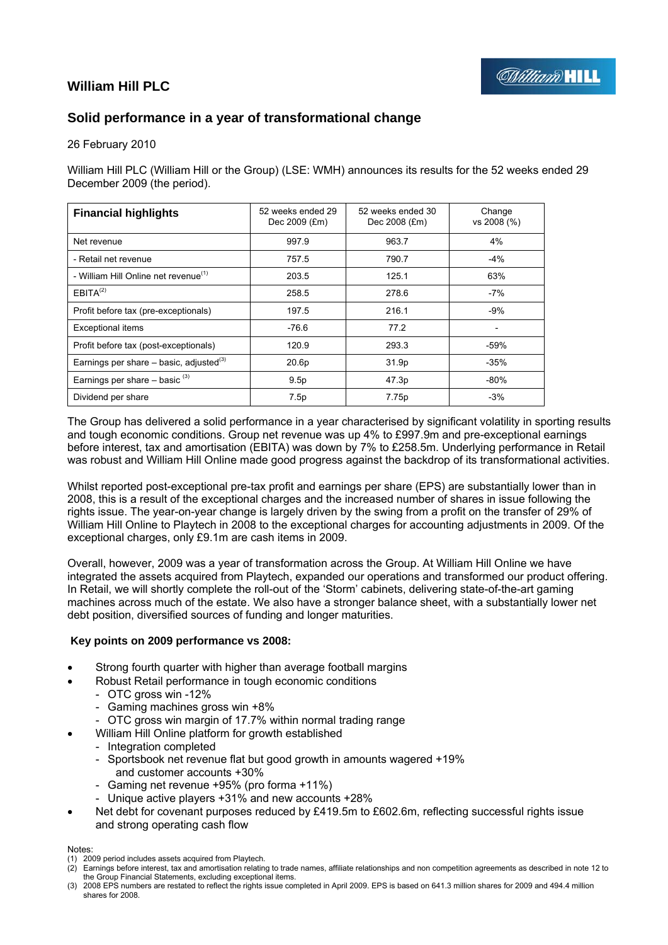

# **William Hill PLC**

# **Solid performance in a year of transformational change**

## 26 February 2010

William Hill PLC (William Hill or the Group) (LSE: WMH) announces its results for the 52 weeks ended 29 December 2009 (the period).

| <b>Financial highlights</b>                           | 52 weeks ended 29<br>Dec 2009 (£m) | 52 weeks ended 30<br>Dec 2008 (£m) | Change<br>vs 2008 (%) |
|-------------------------------------------------------|------------------------------------|------------------------------------|-----------------------|
| Net revenue                                           | 997.9                              | 963.7                              | 4%                    |
| - Retail net revenue                                  | 757.5                              | 790.7                              | $-4%$                 |
| - William Hill Online net revenue <sup>(1)</sup>      | 203.5                              | 125.1                              | 63%                   |
| EBITA <sup>(2)</sup>                                  | 258.5                              | 278.6                              | $-7%$                 |
| Profit before tax (pre-exceptionals)                  | 197.5                              | 216.1                              | $-9%$                 |
| <b>Exceptional items</b>                              | $-76.6$                            | 77.2                               |                       |
| Profit before tax (post-exceptionals)                 | 120.9                              | 293.3                              | $-59%$                |
| Earnings per share $-$ basic, adjusted <sup>(3)</sup> | 20.6p                              | 31.9p                              | $-35%$                |
| Earnings per share $-$ basic $(3)$                    | 9.5p                               | 47.3p                              | $-80%$                |
| Dividend per share                                    | 7.5p                               | 7.75p                              | $-3%$                 |

The Group has delivered a solid performance in a year characterised by significant volatility in sporting results and tough economic conditions. Group net revenue was up 4% to £997.9m and pre-exceptional earnings before interest, tax and amortisation (EBITA) was down by 7% to £258.5m. Underlying performance in Retail was robust and William Hill Online made good progress against the backdrop of its transformational activities.

Whilst reported post-exceptional pre-tax profit and earnings per share (EPS) are substantially lower than in 2008, this is a result of the exceptional charges and the increased number of shares in issue following the rights issue. The year-on-year change is largely driven by the swing from a profit on the transfer of 29% of William Hill Online to Playtech in 2008 to the exceptional charges for accounting adjustments in 2009. Of the exceptional charges, only £9.1m are cash items in 2009.

Overall, however, 2009 was a year of transformation across the Group. At William Hill Online we have integrated the assets acquired from Playtech, expanded our operations and transformed our product offering. In Retail, we will shortly complete the roll-out of the 'Storm' cabinets, delivering state-of-the-art gaming machines across much of the estate. We also have a stronger balance sheet, with a substantially lower net debt position, diversified sources of funding and longer maturities.

## **Key points on 2009 performance vs 2008:**

- Strong fourth quarter with higher than average football margins
- Robust Retail performance in tough economic conditions
	- OTC gross win -12%
	- Gaming machines gross win +8%
	- OTC gross win margin of 17.7% within normal trading range
- William Hill Online platform for growth established
	- Integration completed
	- Sportsbook net revenue flat but good growth in amounts wagered +19% and customer accounts +30%
	- Gaming net revenue +95% (pro forma +11%)
	- Unique active players +31% and new accounts +28%
- Net debt for covenant purposes reduced by £419.5m to £602.6m, reflecting successful rights issue and strong operating cash flow

Notes:

(3) 2008 EPS numbers are restated to reflect the rights issue completed in April 2009. EPS is based on 641.3 million shares for 2009 and 494.4 million shares for 2008.

<sup>(1) 2009</sup> period includes assets acquired from Playtech.

<sup>(2)</sup> Earnings before interest, tax and amortisation relating to trade names, affiliate relationships and non competition agreements as described in note 12 to the Group Financial Statements, excluding exceptional items.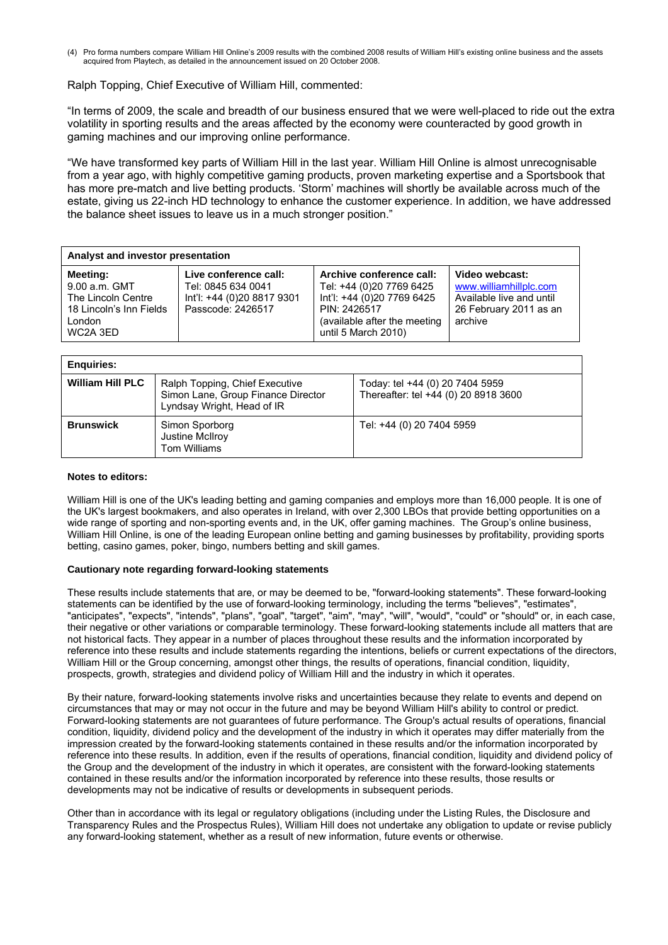(4) Pro forma numbers compare William Hill Online's 2009 results with the combined 2008 results of William Hill's existing online business and the assets acquired from Playtech, as detailed in the announcement issued on 20 October 2008.

## Ralph Topping, Chief Executive of William Hill, commented:

"In terms of 2009, the scale and breadth of our business ensured that we were well-placed to ride out the extra volatility in sporting results and the areas affected by the economy were counteracted by good growth in gaming machines and our improving online performance.

"We have transformed key parts of William Hill in the last year. William Hill Online is almost unrecognisable from a year ago, with highly competitive gaming products, proven marketing expertise and a Sportsbook that has more pre-match and live betting products. 'Storm' machines will shortly be available across much of the estate, giving us 22-inch HD technology to enhance the customer experience. In addition, we have addressed the balance sheet issues to leave us in a much stronger position."

| Analyst and investor presentation                                                                       |                                                                                                |                                                                                                                                                           |                                                                                                           |  |  |  |
|---------------------------------------------------------------------------------------------------------|------------------------------------------------------------------------------------------------|-----------------------------------------------------------------------------------------------------------------------------------------------------------|-----------------------------------------------------------------------------------------------------------|--|--|--|
| <b>Meeting:</b><br>9.00 a.m. GMT<br>The Lincoln Centre<br>18 Lincoln's Inn Fields<br>London<br>WC2A 3ED | Live conference call:<br>Tel: 0845 634 0041<br>lnt'l: +44 (0)20 8817 9301<br>Passcode: 2426517 | Archive conference call:<br>Tel: +44 (0)20 7769 6425<br>Int'l: +44 (0)20 7769 6425<br>PIN: 2426517<br>(available after the meeting<br>until 5 March 2010) | Video webcast:<br>www.williamhillplc.com<br>Available live and until<br>26 February 2011 as an<br>archive |  |  |  |

| <b>Enquiries:</b>       |                                                                                                    |                                                                         |
|-------------------------|----------------------------------------------------------------------------------------------------|-------------------------------------------------------------------------|
| <b>William Hill PLC</b> | Ralph Topping, Chief Executive<br>Simon Lane, Group Finance Director<br>Lyndsay Wright, Head of IR | Today: tel +44 (0) 20 7404 5959<br>Thereafter: tel +44 (0) 20 8918 3600 |
| <b>Brunswick</b>        | Simon Sporborg<br>Justine McIlroy<br>Tom Williams                                                  | Tel: +44 (0) 20 7404 5959                                               |

#### **Notes to editors:**

William Hill is one of the UK's leading betting and gaming companies and employs more than 16,000 people. It is one of the UK's largest bookmakers, and also operates in Ireland, with over 2,300 LBOs that provide betting opportunities on a wide range of sporting and non-sporting events and, in the UK, offer gaming machines. The Group's online business, William Hill Online, is one of the leading European online betting and gaming businesses by profitability, providing sports betting, casino games, poker, bingo, numbers betting and skill games.

#### **Cautionary note regarding forward-looking statements**

These results include statements that are, or may be deemed to be, "forward-looking statements". These forward-looking statements can be identified by the use of forward-looking terminology, including the terms "believes", "estimates", "anticipates", "expects", "intends", "plans", "goal", "target", "aim", "may", "will", "would", "could" or "should" or, in each case, their negative or other variations or comparable terminology. These forward-looking statements include all matters that are not historical facts. They appear in a number of places throughout these results and the information incorporated by reference into these results and include statements regarding the intentions, beliefs or current expectations of the directors, William Hill or the Group concerning, amongst other things, the results of operations, financial condition, liquidity, prospects, growth, strategies and dividend policy of William Hill and the industry in which it operates.

By their nature, forward-looking statements involve risks and uncertainties because they relate to events and depend on circumstances that may or may not occur in the future and may be beyond William Hill's ability to control or predict. Forward-looking statements are not guarantees of future performance. The Group's actual results of operations, financial condition, liquidity, dividend policy and the development of the industry in which it operates may differ materially from the impression created by the forward-looking statements contained in these results and/or the information incorporated by reference into these results. In addition, even if the results of operations, financial condition, liquidity and dividend policy of the Group and the development of the industry in which it operates, are consistent with the forward-looking statements contained in these results and/or the information incorporated by reference into these results, those results or developments may not be indicative of results or developments in subsequent periods.

Other than in accordance with its legal or regulatory obligations (including under the Listing Rules, the Disclosure and Transparency Rules and the Prospectus Rules), William Hill does not undertake any obligation to update or revise publicly any forward-looking statement, whether as a result of new information, future events or otherwise.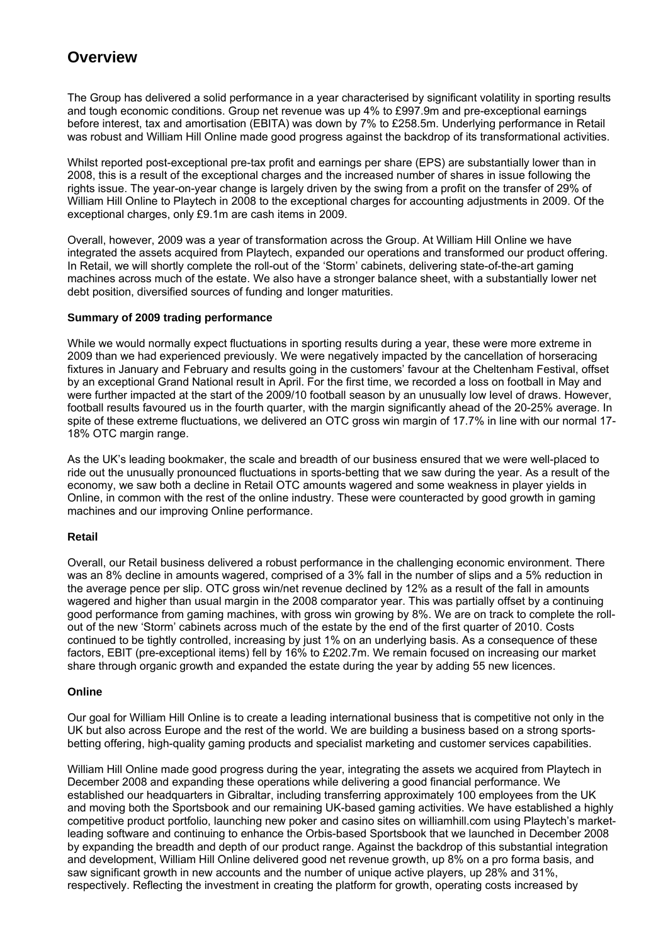# **Overview**

The Group has delivered a solid performance in a year characterised by significant volatility in sporting results and tough economic conditions. Group net revenue was up 4% to £997.9m and pre-exceptional earnings before interest, tax and amortisation (EBITA) was down by 7% to £258.5m. Underlying performance in Retail was robust and William Hill Online made good progress against the backdrop of its transformational activities.

Whilst reported post-exceptional pre-tax profit and earnings per share (EPS) are substantially lower than in 2008, this is a result of the exceptional charges and the increased number of shares in issue following the rights issue. The year-on-year change is largely driven by the swing from a profit on the transfer of 29% of William Hill Online to Playtech in 2008 to the exceptional charges for accounting adjustments in 2009. Of the exceptional charges, only £9.1m are cash items in 2009.

Overall, however, 2009 was a year of transformation across the Group. At William Hill Online we have integrated the assets acquired from Playtech, expanded our operations and transformed our product offering. In Retail, we will shortly complete the roll-out of the 'Storm' cabinets, delivering state-of-the-art gaming machines across much of the estate. We also have a stronger balance sheet, with a substantially lower net debt position, diversified sources of funding and longer maturities.

## **Summary of 2009 trading performance**

While we would normally expect fluctuations in sporting results during a year, these were more extreme in 2009 than we had experienced previously. We were negatively impacted by the cancellation of horseracing fixtures in January and February and results going in the customers' favour at the Cheltenham Festival, offset by an exceptional Grand National result in April. For the first time, we recorded a loss on football in May and were further impacted at the start of the 2009/10 football season by an unusually low level of draws. However, football results favoured us in the fourth quarter, with the margin significantly ahead of the 20-25% average. In spite of these extreme fluctuations, we delivered an OTC gross win margin of 17.7% in line with our normal 17- 18% OTC margin range.

As the UK's leading bookmaker, the scale and breadth of our business ensured that we were well-placed to ride out the unusually pronounced fluctuations in sports-betting that we saw during the year. As a result of the economy, we saw both a decline in Retail OTC amounts wagered and some weakness in player yields in Online, in common with the rest of the online industry. These were counteracted by good growth in gaming machines and our improving Online performance.

## **Retail**

Overall, our Retail business delivered a robust performance in the challenging economic environment. There was an 8% decline in amounts wagered, comprised of a 3% fall in the number of slips and a 5% reduction in the average pence per slip. OTC gross win/net revenue declined by 12% as a result of the fall in amounts wagered and higher than usual margin in the 2008 comparator year. This was partially offset by a continuing good performance from gaming machines, with gross win growing by 8%. We are on track to complete the rollout of the new 'Storm' cabinets across much of the estate by the end of the first quarter of 2010. Costs continued to be tightly controlled, increasing by just 1% on an underlying basis. As a consequence of these factors, EBIT (pre-exceptional items) fell by 16% to £202.7m. We remain focused on increasing our market share through organic growth and expanded the estate during the year by adding 55 new licences.

## **Online**

Our goal for William Hill Online is to create a leading international business that is competitive not only in the UK but also across Europe and the rest of the world. We are building a business based on a strong sportsbetting offering, high-quality gaming products and specialist marketing and customer services capabilities.

William Hill Online made good progress during the year, integrating the assets we acquired from Playtech in December 2008 and expanding these operations while delivering a good financial performance. We established our headquarters in Gibraltar, including transferring approximately 100 employees from the UK and moving both the Sportsbook and our remaining UK-based gaming activities. We have established a highly competitive product portfolio, launching new poker and casino sites on williamhill.com using Playtech's marketleading software and continuing to enhance the Orbis-based Sportsbook that we launched in December 2008 by expanding the breadth and depth of our product range. Against the backdrop of this substantial integration and development, William Hill Online delivered good net revenue growth, up 8% on a pro forma basis, and saw significant growth in new accounts and the number of unique active players, up 28% and 31%, respectively. Reflecting the investment in creating the platform for growth, operating costs increased by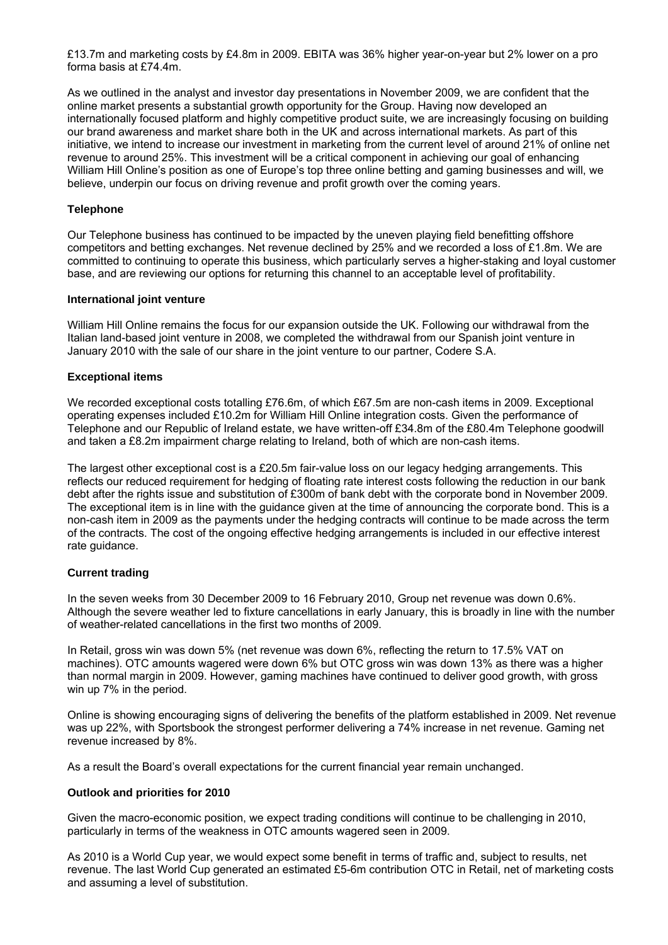£13.7m and marketing costs by £4.8m in 2009. EBITA was 36% higher year-on-year but 2% lower on a pro forma basis at £74.4m.

As we outlined in the analyst and investor day presentations in November 2009, we are confident that the online market presents a substantial growth opportunity for the Group. Having now developed an internationally focused platform and highly competitive product suite, we are increasingly focusing on building our brand awareness and market share both in the UK and across international markets. As part of this initiative, we intend to increase our investment in marketing from the current level of around 21% of online net revenue to around 25%. This investment will be a critical component in achieving our goal of enhancing William Hill Online's position as one of Europe's top three online betting and gaming businesses and will, we believe, underpin our focus on driving revenue and profit growth over the coming years.

## **Telephone**

Our Telephone business has continued to be impacted by the uneven playing field benefitting offshore competitors and betting exchanges. Net revenue declined by 25% and we recorded a loss of £1.8m. We are committed to continuing to operate this business, which particularly serves a higher-staking and loyal customer base, and are reviewing our options for returning this channel to an acceptable level of profitability.

## **International joint venture**

William Hill Online remains the focus for our expansion outside the UK. Following our withdrawal from the Italian land-based joint venture in 2008, we completed the withdrawal from our Spanish joint venture in January 2010 with the sale of our share in the joint venture to our partner, Codere S.A.

## **Exceptional items**

We recorded exceptional costs totalling £76.6m, of which £67.5m are non-cash items in 2009. Exceptional operating expenses included £10.2m for William Hill Online integration costs. Given the performance of Telephone and our Republic of Ireland estate, we have written-off £34.8m of the £80.4m Telephone goodwill and taken a £8.2m impairment charge relating to Ireland, both of which are non-cash items.

The largest other exceptional cost is a £20.5m fair-value loss on our legacy hedging arrangements. This reflects our reduced requirement for hedging of floating rate interest costs following the reduction in our bank debt after the rights issue and substitution of £300m of bank debt with the corporate bond in November 2009. The exceptional item is in line with the guidance given at the time of announcing the corporate bond. This is a non-cash item in 2009 as the payments under the hedging contracts will continue to be made across the term of the contracts. The cost of the ongoing effective hedging arrangements is included in our effective interest rate guidance.

## **Current trading**

In the seven weeks from 30 December 2009 to 16 February 2010, Group net revenue was down 0.6%. Although the severe weather led to fixture cancellations in early January, this is broadly in line with the number of weather-related cancellations in the first two months of 2009.

In Retail, gross win was down 5% (net revenue was down 6%, reflecting the return to 17.5% VAT on machines). OTC amounts wagered were down 6% but OTC gross win was down 13% as there was a higher than normal margin in 2009. However, gaming machines have continued to deliver good growth, with gross win up 7% in the period.

Online is showing encouraging signs of delivering the benefits of the platform established in 2009. Net revenue was up 22%, with Sportsbook the strongest performer delivering a 74% increase in net revenue. Gaming net revenue increased by 8%.

As a result the Board's overall expectations for the current financial year remain unchanged.

## **Outlook and priorities for 2010**

Given the macro-economic position, we expect trading conditions will continue to be challenging in 2010, particularly in terms of the weakness in OTC amounts wagered seen in 2009.

As 2010 is a World Cup year, we would expect some benefit in terms of traffic and, subject to results, net revenue. The last World Cup generated an estimated £5-6m contribution OTC in Retail, net of marketing costs and assuming a level of substitution.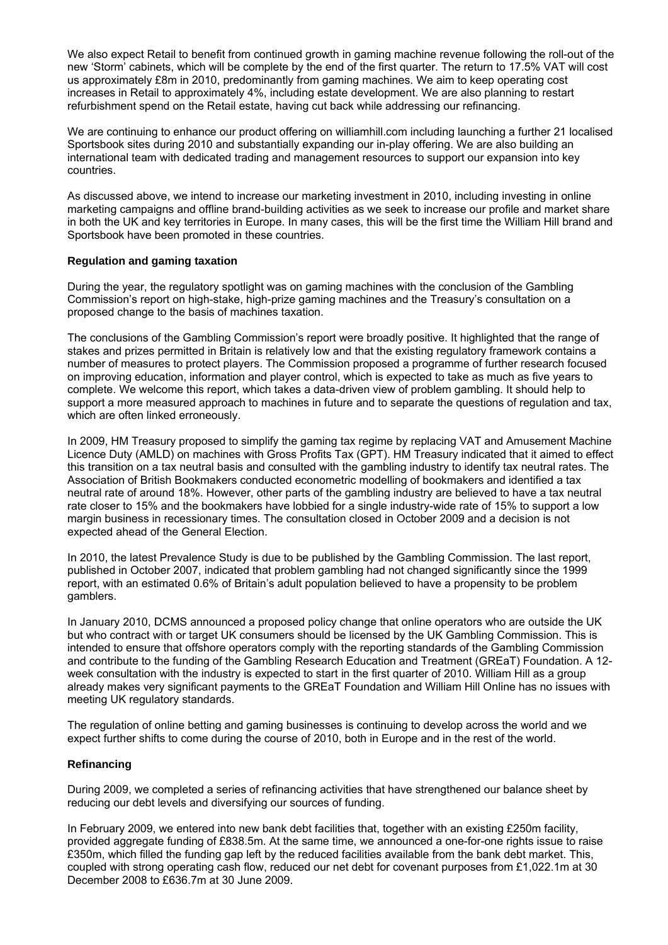We also expect Retail to benefit from continued growth in gaming machine revenue following the roll-out of the new 'Storm' cabinets, which will be complete by the end of the first quarter. The return to 17.5% VAT will cost us approximately £8m in 2010, predominantly from gaming machines. We aim to keep operating cost increases in Retail to approximately 4%, including estate development. We are also planning to restart refurbishment spend on the Retail estate, having cut back while addressing our refinancing.

We are continuing to enhance our product offering on williamhill.com including launching a further 21 localised Sportsbook sites during 2010 and substantially expanding our in-play offering. We are also building an international team with dedicated trading and management resources to support our expansion into key countries.

As discussed above, we intend to increase our marketing investment in 2010, including investing in online marketing campaigns and offline brand-building activities as we seek to increase our profile and market share in both the UK and key territories in Europe. In many cases, this will be the first time the William Hill brand and Sportsbook have been promoted in these countries.

## **Regulation and gaming taxation**

During the year, the regulatory spotlight was on gaming machines with the conclusion of the Gambling Commission's report on high-stake, high-prize gaming machines and the Treasury's consultation on a proposed change to the basis of machines taxation.

The conclusions of the Gambling Commission's report were broadly positive. It highlighted that the range of stakes and prizes permitted in Britain is relatively low and that the existing regulatory framework contains a number of measures to protect players. The Commission proposed a programme of further research focused on improving education, information and player control, which is expected to take as much as five years to complete. We welcome this report, which takes a data-driven view of problem gambling. It should help to support a more measured approach to machines in future and to separate the questions of regulation and tax, which are often linked erroneously.

In 2009, HM Treasury proposed to simplify the gaming tax regime by replacing VAT and Amusement Machine Licence Duty (AMLD) on machines with Gross Profits Tax (GPT). HM Treasury indicated that it aimed to effect this transition on a tax neutral basis and consulted with the gambling industry to identify tax neutral rates. The Association of British Bookmakers conducted econometric modelling of bookmakers and identified a tax neutral rate of around 18%. However, other parts of the gambling industry are believed to have a tax neutral rate closer to 15% and the bookmakers have lobbied for a single industry-wide rate of 15% to support a low margin business in recessionary times. The consultation closed in October 2009 and a decision is not expected ahead of the General Election.

In 2010, the latest Prevalence Study is due to be published by the Gambling Commission. The last report, published in October 2007, indicated that problem gambling had not changed significantly since the 1999 report, with an estimated 0.6% of Britain's adult population believed to have a propensity to be problem gamblers.

In January 2010, DCMS announced a proposed policy change that online operators who are outside the UK but who contract with or target UK consumers should be licensed by the UK Gambling Commission. This is intended to ensure that offshore operators comply with the reporting standards of the Gambling Commission and contribute to the funding of the Gambling Research Education and Treatment (GREaT) Foundation. A 12 week consultation with the industry is expected to start in the first quarter of 2010. William Hill as a group already makes very significant payments to the GREaT Foundation and William Hill Online has no issues with meeting UK regulatory standards.

The regulation of online betting and gaming businesses is continuing to develop across the world and we expect further shifts to come during the course of 2010, both in Europe and in the rest of the world.

## **Refinancing**

During 2009, we completed a series of refinancing activities that have strengthened our balance sheet by reducing our debt levels and diversifying our sources of funding.

In February 2009, we entered into new bank debt facilities that, together with an existing £250m facility, provided aggregate funding of £838.5m. At the same time, we announced a one-for-one rights issue to raise £350m, which filled the funding gap left by the reduced facilities available from the bank debt market. This, coupled with strong operating cash flow, reduced our net debt for covenant purposes from £1,022.1m at 30 December 2008 to £636.7m at 30 June 2009.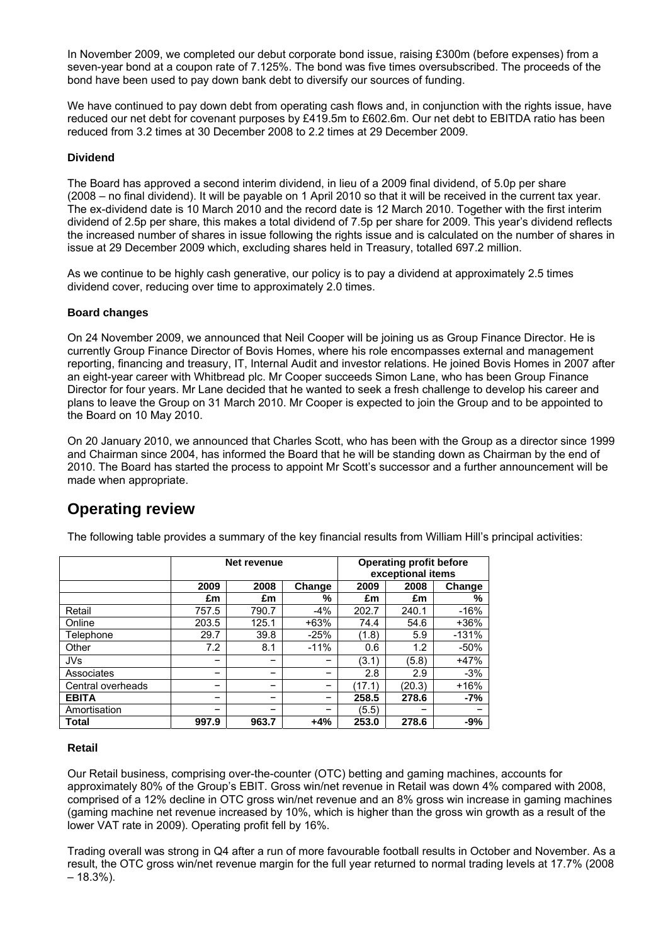In November 2009, we completed our debut corporate bond issue, raising £300m (before expenses) from a seven-year bond at a coupon rate of 7.125%. The bond was five times oversubscribed. The proceeds of the bond have been used to pay down bank debt to diversify our sources of funding.

We have continued to pay down debt from operating cash flows and, in conjunction with the rights issue, have reduced our net debt for covenant purposes by £419.5m to £602.6m. Our net debt to EBITDA ratio has been reduced from 3.2 times at 30 December 2008 to 2.2 times at 29 December 2009.

## **Dividend**

The Board has approved a second interim dividend, in lieu of a 2009 final dividend, of 5.0p per share (2008 – no final dividend). It will be payable on 1 April 2010 so that it will be received in the current tax year. The ex-dividend date is 10 March 2010 and the record date is 12 March 2010. Together with the first interim dividend of 2.5p per share, this makes a total dividend of 7.5p per share for 2009. This year's dividend reflects the increased number of shares in issue following the rights issue and is calculated on the number of shares in issue at 29 December 2009 which, excluding shares held in Treasury, totalled 697.2 million.

As we continue to be highly cash generative, our policy is to pay a dividend at approximately 2.5 times dividend cover, reducing over time to approximately 2.0 times.

## **Board changes**

On 24 November 2009, we announced that Neil Cooper will be joining us as Group Finance Director. He is currently Group Finance Director of Bovis Homes, where his role encompasses external and management reporting, financing and treasury, IT, Internal Audit and investor relations. He joined Bovis Homes in 2007 after an eight-year career with Whitbread plc. Mr Cooper succeeds Simon Lane, who has been Group Finance Director for four years. Mr Lane decided that he wanted to seek a fresh challenge to develop his career and plans to leave the Group on 31 March 2010. Mr Cooper is expected to join the Group and to be appointed to the Board on 10 May 2010.

On 20 January 2010, we announced that Charles Scott, who has been with the Group as a director since 1999 and Chairman since 2004, has informed the Board that he will be standing down as Chairman by the end of 2010. The Board has started the process to appoint Mr Scott's successor and a further announcement will be made when appropriate.

# **Operating review**

|                   |       | Net revenue |        | <b>Operating profit before</b><br>exceptional items |        |         |  |
|-------------------|-------|-------------|--------|-----------------------------------------------------|--------|---------|--|
|                   | 2009  | 2008        | Change | 2009                                                | 2008   | Change  |  |
|                   | £m    | £m          | %      | £m                                                  | £m     | %       |  |
| Retail            | 757.5 | 790.7       | $-4%$  | 202.7                                               | 240.1  | $-16%$  |  |
| Online            | 203.5 | 125.1       | $+63%$ | 74.4                                                | 54.6   | $+36%$  |  |
| Telephone         | 29.7  | 39.8        | $-25%$ | (1.8)                                               | 5.9    | $-131%$ |  |
| Other             | 7.2   | 8.1         | $-11%$ | 0.6                                                 | 1.2    | $-50%$  |  |
| <b>JVs</b>        | -     |             |        | (3.1)                                               | (5.8)  | $+47%$  |  |
| Associates        | -     |             |        | 2.8                                                 | 2.9    | $-3%$   |  |
| Central overheads | -     |             | -      | (17.1)                                              | (20.3) | $+16%$  |  |
| <b>EBITA</b>      | -     |             |        | 258.5                                               | 278.6  | $-7%$   |  |
| Amortisation      | -     |             |        | (5.5)                                               |        |         |  |
| <b>Total</b>      | 997.9 | 963.7       | $+4%$  | 253.0                                               | 278.6  | $-9%$   |  |

The following table provides a summary of the key financial results from William Hill's principal activities:

## **Retail**

Our Retail business, comprising over-the-counter (OTC) betting and gaming machines, accounts for approximately 80% of the Group's EBIT. Gross win/net revenue in Retail was down 4% compared with 2008, comprised of a 12% decline in OTC gross win/net revenue and an 8% gross win increase in gaming machines (gaming machine net revenue increased by 10%, which is higher than the gross win growth as a result of the lower VAT rate in 2009). Operating profit fell by 16%.

Trading overall was strong in Q4 after a run of more favourable football results in October and November. As a result, the OTC gross win/net revenue margin for the full year returned to normal trading levels at 17.7% (2008  $-18.3%$ ).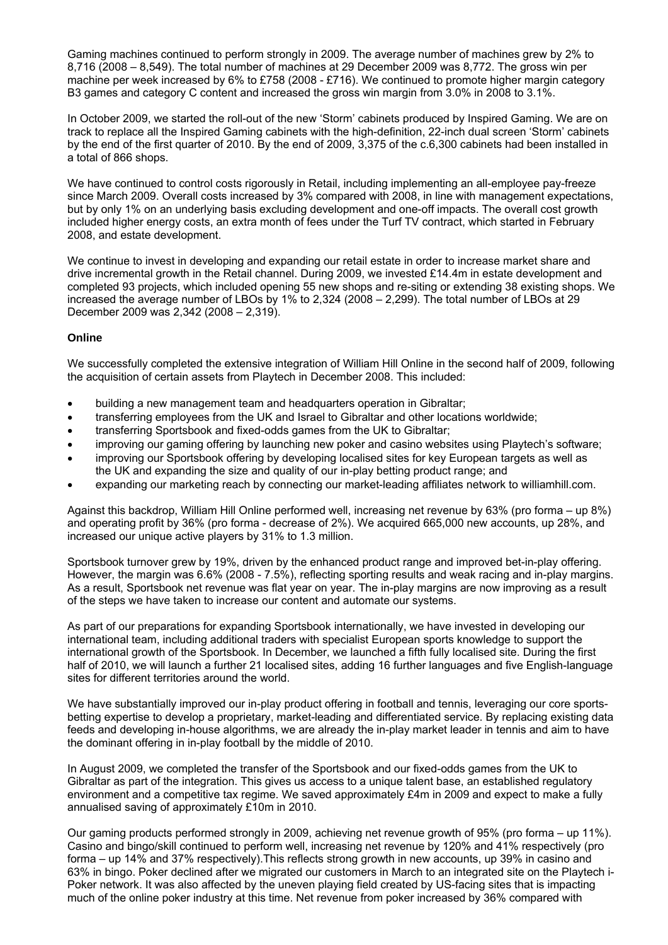Gaming machines continued to perform strongly in 2009. The average number of machines grew by 2% to 8,716 (2008 – 8,549). The total number of machines at 29 December 2009 was 8,772. The gross win per machine per week increased by 6% to £758 (2008 - £716). We continued to promote higher margin category B3 games and category C content and increased the gross win margin from 3.0% in 2008 to 3.1%.

In October 2009, we started the roll-out of the new 'Storm' cabinets produced by Inspired Gaming. We are on track to replace all the Inspired Gaming cabinets with the high-definition, 22-inch dual screen 'Storm' cabinets by the end of the first quarter of 2010. By the end of 2009, 3,375 of the c.6,300 cabinets had been installed in a total of 866 shops.

We have continued to control costs rigorously in Retail, including implementing an all-employee pay-freeze since March 2009. Overall costs increased by 3% compared with 2008, in line with management expectations, but by only 1% on an underlying basis excluding development and one-off impacts. The overall cost growth included higher energy costs, an extra month of fees under the Turf TV contract, which started in February 2008, and estate development.

We continue to invest in developing and expanding our retail estate in order to increase market share and drive incremental growth in the Retail channel. During 2009, we invested £14.4m in estate development and completed 93 projects, which included opening 55 new shops and re-siting or extending 38 existing shops. We increased the average number of LBOs by 1% to 2,324 (2008 – 2,299). The total number of LBOs at 29 December 2009 was 2,342 (2008 – 2,319).

## **Online**

We successfully completed the extensive integration of William Hill Online in the second half of 2009, following the acquisition of certain assets from Playtech in December 2008. This included:

- building a new management team and headquarters operation in Gibraltar;
- transferring employees from the UK and Israel to Gibraltar and other locations worldwide;
- transferring Sportsbook and fixed-odds games from the UK to Gibraltar;
- improving our gaming offering by launching new poker and casino websites using Playtech's software;
- improving our Sportsbook offering by developing localised sites for key European targets as well as the UK and expanding the size and quality of our in-play betting product range; and
- expanding our marketing reach by connecting our market-leading affiliates network to williamhill.com.

Against this backdrop, William Hill Online performed well, increasing net revenue by 63% (pro forma – up 8%) and operating profit by 36% (pro forma - decrease of 2%). We acquired 665,000 new accounts, up 28%, and increased our unique active players by 31% to 1.3 million.

Sportsbook turnover grew by 19%, driven by the enhanced product range and improved bet-in-play offering. However, the margin was 6.6% (2008 - 7.5%), reflecting sporting results and weak racing and in-play margins. As a result, Sportsbook net revenue was flat year on year. The in-play margins are now improving as a result of the steps we have taken to increase our content and automate our systems.

As part of our preparations for expanding Sportsbook internationally, we have invested in developing our international team, including additional traders with specialist European sports knowledge to support the international growth of the Sportsbook. In December, we launched a fifth fully localised site. During the first half of 2010, we will launch a further 21 localised sites, adding 16 further languages and five English-language sites for different territories around the world.

We have substantially improved our in-play product offering in football and tennis, leveraging our core sportsbetting expertise to develop a proprietary, market-leading and differentiated service. By replacing existing data feeds and developing in-house algorithms, we are already the in-play market leader in tennis and aim to have the dominant offering in in-play football by the middle of 2010.

In August 2009, we completed the transfer of the Sportsbook and our fixed-odds games from the UK to Gibraltar as part of the integration. This gives us access to a unique talent base, an established regulatory environment and a competitive tax regime. We saved approximately £4m in 2009 and expect to make a fully annualised saving of approximately £10m in 2010.

Our gaming products performed strongly in 2009, achieving net revenue growth of 95% (pro forma – up 11%). Casino and bingo/skill continued to perform well, increasing net revenue by 120% and 41% respectively (pro forma – up 14% and 37% respectively).This reflects strong growth in new accounts, up 39% in casino and 63% in bingo. Poker declined after we migrated our customers in March to an integrated site on the Playtech i-Poker network. It was also affected by the uneven playing field created by US-facing sites that is impacting much of the online poker industry at this time. Net revenue from poker increased by 36% compared with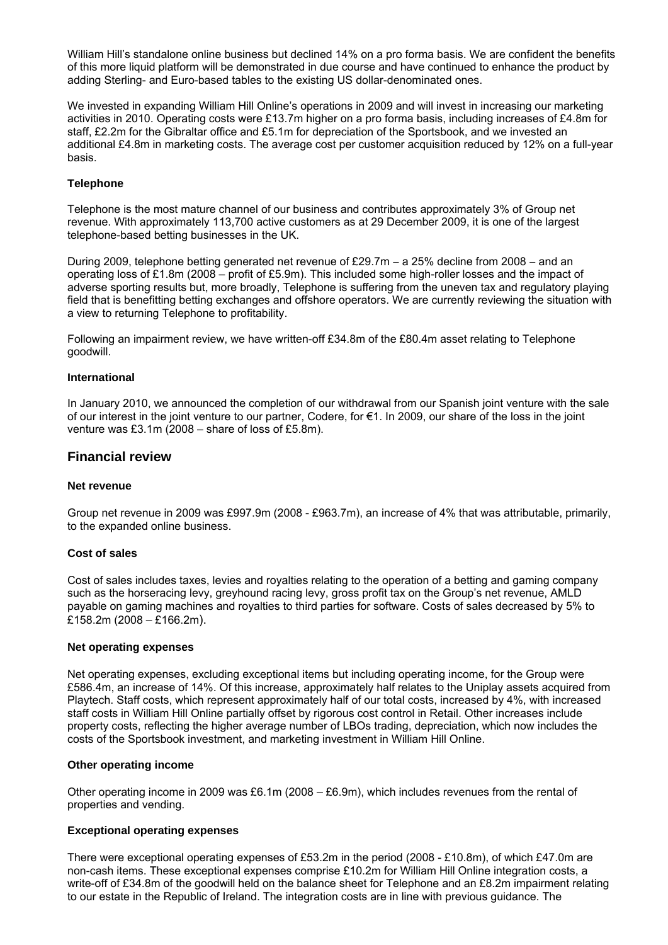William Hill's standalone online business but declined 14% on a pro forma basis. We are confident the benefits of this more liquid platform will be demonstrated in due course and have continued to enhance the product by adding Sterling- and Euro-based tables to the existing US dollar-denominated ones.

We invested in expanding William Hill Online's operations in 2009 and will invest in increasing our marketing activities in 2010. Operating costs were £13.7m higher on a pro forma basis, including increases of £4.8m for staff, £2.2m for the Gibraltar office and £5.1m for depreciation of the Sportsbook, and we invested an additional £4.8m in marketing costs. The average cost per customer acquisition reduced by 12% on a full-year basis.

## **Telephone**

Telephone is the most mature channel of our business and contributes approximately 3% of Group net revenue. With approximately 113,700 active customers as at 29 December 2009, it is one of the largest telephone-based betting businesses in the UK.

During 2009, telephone betting generated net revenue of £29.7m − a 25% decline from 2008 − and an operating loss of £1.8m (2008 – profit of £5.9m). This included some high-roller losses and the impact of adverse sporting results but, more broadly, Telephone is suffering from the uneven tax and regulatory playing field that is benefitting betting exchanges and offshore operators. We are currently reviewing the situation with a view to returning Telephone to profitability.

Following an impairment review, we have written-off £34.8m of the £80.4m asset relating to Telephone goodwill.

## **International**

In January 2010, we announced the completion of our withdrawal from our Spanish joint venture with the sale of our interest in the joint venture to our partner, Codere, for €1. In 2009, our share of the loss in the joint venture was £3.1m (2008 – share of loss of £5.8m).

## **Financial review**

## **Net revenue**

Group net revenue in 2009 was £997.9m (2008 - £963.7m), an increase of 4% that was attributable, primarily, to the expanded online business.

## **Cost of sales**

Cost of sales includes taxes, levies and royalties relating to the operation of a betting and gaming company such as the horseracing levy, greyhound racing levy, gross profit tax on the Group's net revenue, AMLD payable on gaming machines and royalties to third parties for software. Costs of sales decreased by 5% to £158.2m (2008 – £166.2m).

## **Net operating expenses**

Net operating expenses, excluding exceptional items but including operating income, for the Group were £586.4m, an increase of 14%. Of this increase, approximately half relates to the Uniplay assets acquired from Playtech. Staff costs, which represent approximately half of our total costs, increased by 4%, with increased staff costs in William Hill Online partially offset by rigorous cost control in Retail. Other increases include property costs, reflecting the higher average number of LBOs trading, depreciation, which now includes the costs of the Sportsbook investment, and marketing investment in William Hill Online.

## **Other operating income**

Other operating income in 2009 was £6.1m (2008 – £6.9m), which includes revenues from the rental of properties and vending.

## **Exceptional operating expenses**

There were exceptional operating expenses of £53.2m in the period (2008 - £10.8m), of which £47.0m are non-cash items. These exceptional expenses comprise £10.2m for William Hill Online integration costs, a write-off of £34.8m of the goodwill held on the balance sheet for Telephone and an £8.2m impairment relating to our estate in the Republic of Ireland. The integration costs are in line with previous guidance. The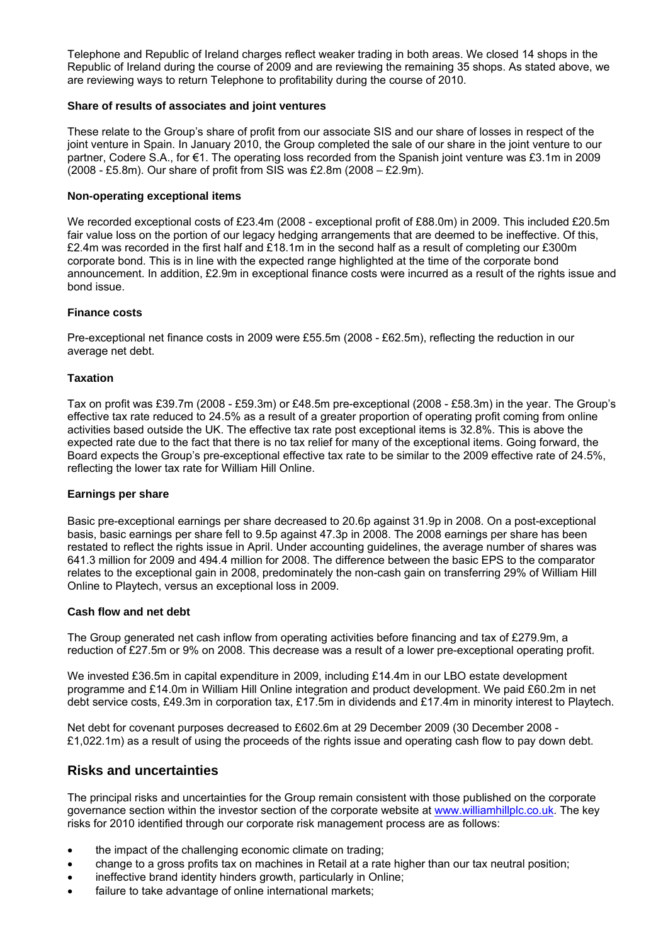Telephone and Republic of Ireland charges reflect weaker trading in both areas. We closed 14 shops in the Republic of Ireland during the course of 2009 and are reviewing the remaining 35 shops. As stated above, we are reviewing ways to return Telephone to profitability during the course of 2010.

## **Share of results of associates and joint ventures**

These relate to the Group's share of profit from our associate SIS and our share of losses in respect of the joint venture in Spain. In January 2010, the Group completed the sale of our share in the joint venture to our partner, Codere S.A., for €1. The operating loss recorded from the Spanish joint venture was £3.1m in 2009 (2008 - £5.8m). Our share of profit from SIS was £2.8m (2008 – £2.9m).

## **Non-operating exceptional items**

We recorded exceptional costs of £23.4m (2008 - exceptional profit of £88.0m) in 2009. This included £20.5m fair value loss on the portion of our legacy hedging arrangements that are deemed to be ineffective. Of this, £2.4m was recorded in the first half and £18.1m in the second half as a result of completing our £300m corporate bond. This is in line with the expected range highlighted at the time of the corporate bond announcement. In addition, £2.9m in exceptional finance costs were incurred as a result of the rights issue and bond issue.

## **Finance costs**

Pre-exceptional net finance costs in 2009 were £55.5m (2008 - £62.5m), reflecting the reduction in our average net debt.

## **Taxation**

Tax on profit was £39.7m (2008 - £59.3m) or £48.5m pre-exceptional (2008 - £58.3m) in the year. The Group's effective tax rate reduced to 24.5% as a result of a greater proportion of operating profit coming from online activities based outside the UK. The effective tax rate post exceptional items is 32.8%. This is above the expected rate due to the fact that there is no tax relief for many of the exceptional items. Going forward, the Board expects the Group's pre-exceptional effective tax rate to be similar to the 2009 effective rate of 24.5%, reflecting the lower tax rate for William Hill Online.

## **Earnings per share**

Basic pre-exceptional earnings per share decreased to 20.6p against 31.9p in 2008. On a post-exceptional basis, basic earnings per share fell to 9.5p against 47.3p in 2008. The 2008 earnings per share has been restated to reflect the rights issue in April. Under accounting guidelines, the average number of shares was 641.3 million for 2009 and 494.4 million for 2008. The difference between the basic EPS to the comparator relates to the exceptional gain in 2008, predominately the non-cash gain on transferring 29% of William Hill Online to Playtech, versus an exceptional loss in 2009.

## **Cash flow and net debt**

The Group generated net cash inflow from operating activities before financing and tax of £279.9m, a reduction of £27.5m or 9% on 2008. This decrease was a result of a lower pre-exceptional operating profit.

We invested £36.5m in capital expenditure in 2009, including £14.4m in our LBO estate development programme and £14.0m in William Hill Online integration and product development. We paid £60.2m in net debt service costs, £49.3m in corporation tax, £17.5m in dividends and £17.4m in minority interest to Playtech.

Net debt for covenant purposes decreased to £602.6m at 29 December 2009 (30 December 2008 - £1,022.1m) as a result of using the proceeds of the rights issue and operating cash flow to pay down debt.

## **Risks and uncertainties**

The principal risks and uncertainties for the Group remain consistent with those published on the corporate governance section within the investor section of the corporate website at www.williamhillplc.co.uk. The key risks for 2010 identified through our corporate risk management process are as follows:

- the impact of the challenging economic climate on trading;
- change to a gross profits tax on machines in Retail at a rate higher than our tax neutral position;
- ineffective brand identity hinders growth, particularly in Online;
- failure to take advantage of online international markets;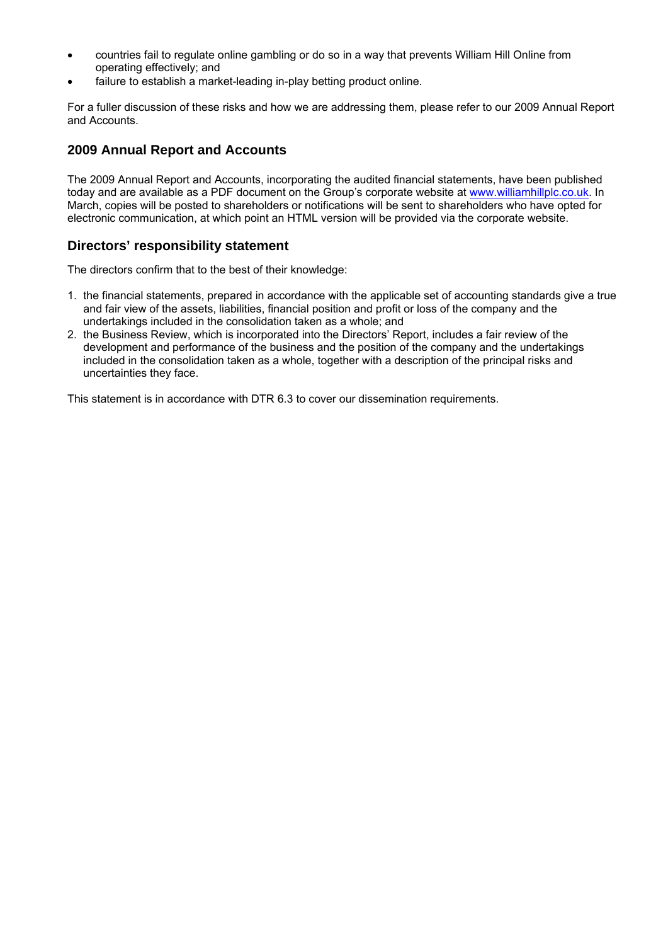- countries fail to regulate online gambling or do so in a way that prevents William Hill Online from operating effectively; and
- failure to establish a market-leading in-play betting product online.

For a fuller discussion of these risks and how we are addressing them, please refer to our 2009 Annual Report and Accounts.

# **2009 Annual Report and Accounts**

The 2009 Annual Report and Accounts, incorporating the audited financial statements, have been published today and are available as a PDF document on the Group's corporate website at www.williamhillplc.co.uk. In March, copies will be posted to shareholders or notifications will be sent to shareholders who have opted for electronic communication, at which point an HTML version will be provided via the corporate website.

# **Directors' responsibility statement**

The directors confirm that to the best of their knowledge:

- 1. the financial statements, prepared in accordance with the applicable set of accounting standards give a true and fair view of the assets, liabilities, financial position and profit or loss of the company and the undertakings included in the consolidation taken as a whole; and
- 2. the Business Review, which is incorporated into the Directors' Report, includes a fair review of the development and performance of the business and the position of the company and the undertakings included in the consolidation taken as a whole, together with a description of the principal risks and uncertainties they face.

This statement is in accordance with DTR 6.3 to cover our dissemination requirements.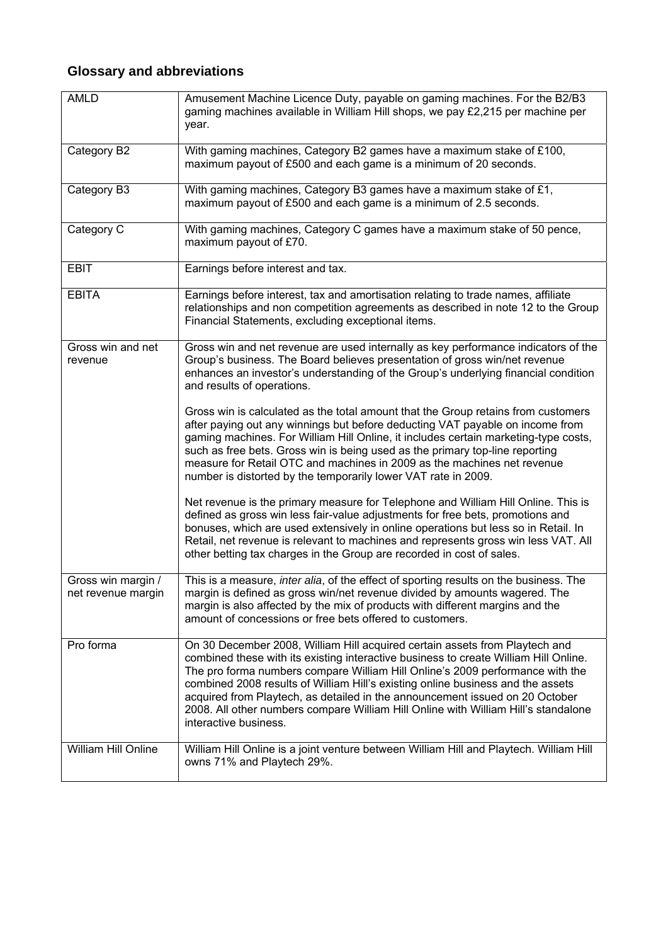# **Glossary and abbreviations**

| <b>AMLD</b>                              | Amusement Machine Licence Duty, payable on gaming machines. For the B2/B3<br>gaming machines available in William Hill shops, we pay £2,215 per machine per<br>year.                                                                                                                                                                                                                                                                                                                                                                   |
|------------------------------------------|----------------------------------------------------------------------------------------------------------------------------------------------------------------------------------------------------------------------------------------------------------------------------------------------------------------------------------------------------------------------------------------------------------------------------------------------------------------------------------------------------------------------------------------|
| Category B2                              | With gaming machines, Category B2 games have a maximum stake of £100,<br>maximum payout of £500 and each game is a minimum of 20 seconds.                                                                                                                                                                                                                                                                                                                                                                                              |
| Category B3                              | With gaming machines, Category B3 games have a maximum stake of £1,<br>maximum payout of £500 and each game is a minimum of 2.5 seconds.                                                                                                                                                                                                                                                                                                                                                                                               |
| Category C                               | With gaming machines, Category C games have a maximum stake of 50 pence,<br>maximum payout of £70.                                                                                                                                                                                                                                                                                                                                                                                                                                     |
| <b>EBIT</b>                              | Earnings before interest and tax.                                                                                                                                                                                                                                                                                                                                                                                                                                                                                                      |
| <b>EBITA</b>                             | Earnings before interest, tax and amortisation relating to trade names, affiliate<br>relationships and non competition agreements as described in note 12 to the Group<br>Financial Statements, excluding exceptional items.                                                                                                                                                                                                                                                                                                           |
| Gross win and net<br>revenue             | Gross win and net revenue are used internally as key performance indicators of the<br>Group's business. The Board believes presentation of gross win/net revenue<br>enhances an investor's understanding of the Group's underlying financial condition<br>and results of operations.                                                                                                                                                                                                                                                   |
|                                          | Gross win is calculated as the total amount that the Group retains from customers<br>after paying out any winnings but before deducting VAT payable on income from<br>gaming machines. For William Hill Online, it includes certain marketing-type costs,<br>such as free bets. Gross win is being used as the primary top-line reporting<br>measure for Retail OTC and machines in 2009 as the machines net revenue<br>number is distorted by the temporarily lower VAT rate in 2009.                                                 |
|                                          | Net revenue is the primary measure for Telephone and William Hill Online. This is<br>defined as gross win less fair-value adjustments for free bets, promotions and<br>bonuses, which are used extensively in online operations but less so in Retail. In<br>Retail, net revenue is relevant to machines and represents gross win less VAT. All<br>other betting tax charges in the Group are recorded in cost of sales.                                                                                                               |
| Gross win margin /<br>net revenue margin | This is a measure, inter alia, of the effect of sporting results on the business. The<br>margin is defined as gross win/net revenue divided by amounts wagered. The<br>margin is also affected by the mix of products with different margins and the<br>amount of concessions or free bets offered to customers.                                                                                                                                                                                                                       |
| Pro forma                                | On 30 December 2008, William Hill acquired certain assets from Playtech and<br>combined these with its existing interactive business to create William Hill Online.<br>The pro forma numbers compare William Hill Online's 2009 performance with the<br>combined 2008 results of William Hill's existing online business and the assets<br>acquired from Playtech, as detailed in the announcement issued on 20 October<br>2008. All other numbers compare William Hill Online with William Hill's standalone<br>interactive business. |
| William Hill Online                      | William Hill Online is a joint venture between William Hill and Playtech. William Hill<br>owns 71% and Playtech 29%.                                                                                                                                                                                                                                                                                                                                                                                                                   |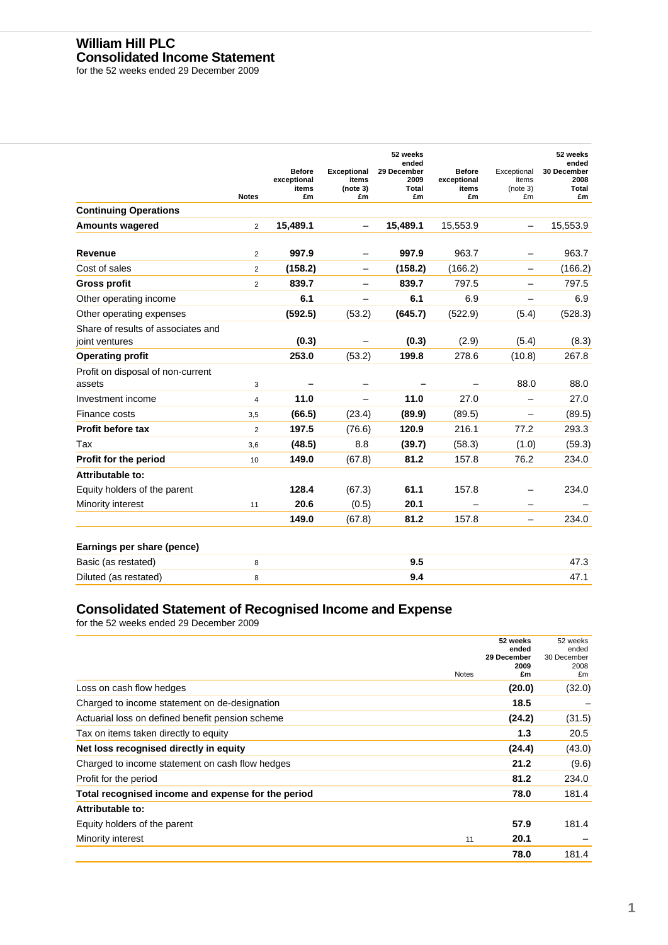## **William Hill PLC Consolidated Income Statement**

for the 52 weeks ended 29 December 2009

|                                                      | <b>Notes</b>   | <b>Before</b><br>exceptional<br>items<br>£m | <b>Exceptional</b><br>items<br>(note 3)<br>£m | 52 weeks<br>ended<br>29 December<br>2009<br>Total<br>£m | <b>Before</b><br>exceptional<br>items<br>£m | Exceptional<br>items<br>(note 3)<br>£m | 52 weeks<br>ended<br>30 December<br>2008<br>Total<br>£m |
|------------------------------------------------------|----------------|---------------------------------------------|-----------------------------------------------|---------------------------------------------------------|---------------------------------------------|----------------------------------------|---------------------------------------------------------|
| <b>Continuing Operations</b>                         |                |                                             |                                               |                                                         |                                             |                                        |                                                         |
| <b>Amounts wagered</b>                               | $\overline{2}$ | 15,489.1                                    | $\qquad \qquad -$                             | 15,489.1                                                | 15,553.9                                    | $\overline{\phantom{0}}$               | 15,553.9                                                |
| Revenue                                              | $\overline{2}$ | 997.9                                       |                                               | 997.9                                                   | 963.7                                       |                                        | 963.7                                                   |
| Cost of sales                                        | $\overline{2}$ | (158.2)                                     | $\overline{\phantom{0}}$                      | (158.2)                                                 | (166.2)                                     |                                        | (166.2)                                                 |
| <b>Gross profit</b>                                  | $\overline{2}$ | 839.7                                       |                                               | 839.7                                                   | 797.5                                       |                                        | 797.5                                                   |
| Other operating income                               |                | 6.1                                         | -                                             | 6.1                                                     | 6.9                                         | —                                      | 6.9                                                     |
| Other operating expenses                             |                | (592.5)                                     | (53.2)                                        | (645.7)                                                 | (522.9)                                     | (5.4)                                  | (528.3)                                                 |
| Share of results of associates and<br>joint ventures |                | (0.3)                                       |                                               | (0.3)                                                   | (2.9)                                       | (5.4)                                  | (8.3)                                                   |
| <b>Operating profit</b>                              |                | 253.0                                       | (53.2)                                        | 199.8                                                   | 278.6                                       | (10.8)                                 | 267.8                                                   |
| Profit on disposal of non-current<br>assets          | 3              |                                             |                                               |                                                         |                                             | 88.0                                   | 88.0                                                    |
| Investment income                                    | 4              | 11.0                                        |                                               | 11.0                                                    | 27.0                                        |                                        | 27.0                                                    |
| Finance costs                                        | 3,5            | (66.5)                                      | (23.4)                                        | (89.9)                                                  | (89.5)                                      |                                        | (89.5)                                                  |
| <b>Profit before tax</b>                             | $\overline{2}$ | 197.5                                       | (76.6)                                        | 120.9                                                   | 216.1                                       | 77.2                                   | 293.3                                                   |
| Tax                                                  | 3,6            | (48.5)                                      | 8.8                                           | (39.7)                                                  | (58.3)                                      | (1.0)                                  | (59.3)                                                  |
| Profit for the period                                | 10             | 149.0                                       | (67.8)                                        | 81.2                                                    | 157.8                                       | 76.2                                   | 234.0                                                   |
| Attributable to:                                     |                |                                             |                                               |                                                         |                                             |                                        |                                                         |
| Equity holders of the parent                         |                | 128.4                                       | (67.3)                                        | 61.1                                                    | 157.8                                       |                                        | 234.0                                                   |
| Minority interest                                    | 11             | 20.6                                        | (0.5)                                         | 20.1                                                    |                                             |                                        |                                                         |
|                                                      |                | 149.0                                       | (67.8)                                        | 81.2                                                    | 157.8                                       | $\overline{\phantom{0}}$               | 234.0                                                   |
| Earnings per share (pence)                           |                |                                             |                                               |                                                         |                                             |                                        |                                                         |
| Basic (as restated)                                  | 8              |                                             |                                               | 9.5                                                     |                                             |                                        | 47.3                                                    |
| Diluted (as restated)                                | 8              |                                             |                                               | 9.4                                                     |                                             |                                        | 47.1                                                    |

## **Consolidated Statement of Recognised Income and Expense**

for the 52 weeks ended 29 December 2009

|                                                    |              | 52 weeks<br>ended | 52 weeks<br>ended |
|----------------------------------------------------|--------------|-------------------|-------------------|
|                                                    |              | 29 December       | 30 December       |
|                                                    |              | 2009              | 2008              |
|                                                    | <b>Notes</b> | £m                | £m                |
| Loss on cash flow hedges                           |              | (20.0)            | (32.0)            |
| Charged to income statement on de-designation      |              | 18.5              |                   |
| Actuarial loss on defined benefit pension scheme   |              | (24.2)            | (31.5)            |
| Tax on items taken directly to equity              |              | 1.3               | 20.5              |
| Net loss recognised directly in equity             |              | (24.4)            | (43.0)            |
| Charged to income statement on cash flow hedges    |              | 21.2              | (9.6)             |
| Profit for the period                              |              | 81.2              | 234.0             |
| Total recognised income and expense for the period |              | 78.0              | 181.4             |
| Attributable to:                                   |              |                   |                   |
| Equity holders of the parent                       |              | 57.9              | 181.4             |
| Minority interest                                  | 11           | 20.1              |                   |
|                                                    |              | 78.0              | 181.4             |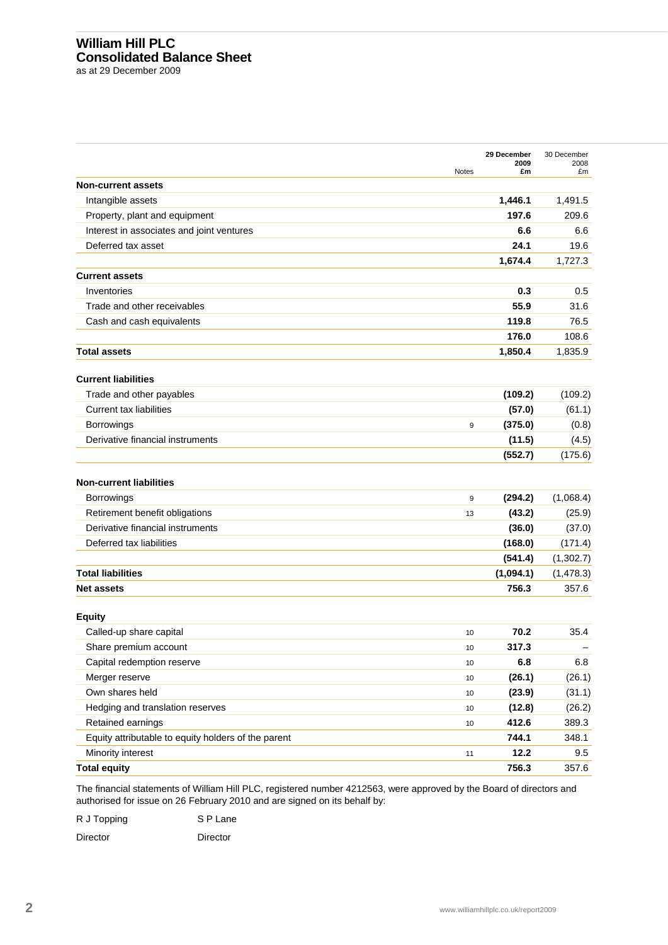# **William Hill PLC Consolidated Balance Sheet**

as at 29 December 2009

| <b>Non-current assets</b><br>Intangible assets<br>1,446.1<br>197.6<br>Property, plant and equipment<br>Interest in associates and joint ventures<br>6.6<br>Deferred tax asset<br>24.1<br>1,674.4<br><b>Current assets</b><br>Inventories<br>0.3<br>55.9<br>Trade and other receivables<br>119.8<br>Cash and cash equivalents<br>176.0<br><b>Total assets</b><br>1,850.4<br><b>Current liabilities</b><br>Trade and other payables<br>(109.2)<br><b>Current tax liabilities</b><br>(57.0)<br>Borrowings<br>(375.0)<br>9<br>Derivative financial instruments<br>(11.5)<br>(552.7)<br><b>Non-current liabilities</b><br><b>Borrowings</b><br>(294.2)<br>9<br>Retirement benefit obligations<br>(43.2)<br>13<br>Derivative financial instruments<br>(36.0)<br>Deferred tax liabilities<br>(168.0)<br>(541.4) | 1,491.5<br>209.6<br>6.6<br>19.6<br>1,727.3<br>0.5<br>31.6<br>76.5<br>108.6<br>1,835.9<br>(109.2)<br>(61.1)<br>(0.8) |
|----------------------------------------------------------------------------------------------------------------------------------------------------------------------------------------------------------------------------------------------------------------------------------------------------------------------------------------------------------------------------------------------------------------------------------------------------------------------------------------------------------------------------------------------------------------------------------------------------------------------------------------------------------------------------------------------------------------------------------------------------------------------------------------------------------|---------------------------------------------------------------------------------------------------------------------|
|                                                                                                                                                                                                                                                                                                                                                                                                                                                                                                                                                                                                                                                                                                                                                                                                          |                                                                                                                     |
|                                                                                                                                                                                                                                                                                                                                                                                                                                                                                                                                                                                                                                                                                                                                                                                                          |                                                                                                                     |
|                                                                                                                                                                                                                                                                                                                                                                                                                                                                                                                                                                                                                                                                                                                                                                                                          |                                                                                                                     |
|                                                                                                                                                                                                                                                                                                                                                                                                                                                                                                                                                                                                                                                                                                                                                                                                          |                                                                                                                     |
|                                                                                                                                                                                                                                                                                                                                                                                                                                                                                                                                                                                                                                                                                                                                                                                                          |                                                                                                                     |
|                                                                                                                                                                                                                                                                                                                                                                                                                                                                                                                                                                                                                                                                                                                                                                                                          |                                                                                                                     |
|                                                                                                                                                                                                                                                                                                                                                                                                                                                                                                                                                                                                                                                                                                                                                                                                          |                                                                                                                     |
|                                                                                                                                                                                                                                                                                                                                                                                                                                                                                                                                                                                                                                                                                                                                                                                                          |                                                                                                                     |
|                                                                                                                                                                                                                                                                                                                                                                                                                                                                                                                                                                                                                                                                                                                                                                                                          |                                                                                                                     |
|                                                                                                                                                                                                                                                                                                                                                                                                                                                                                                                                                                                                                                                                                                                                                                                                          |                                                                                                                     |
|                                                                                                                                                                                                                                                                                                                                                                                                                                                                                                                                                                                                                                                                                                                                                                                                          |                                                                                                                     |
|                                                                                                                                                                                                                                                                                                                                                                                                                                                                                                                                                                                                                                                                                                                                                                                                          |                                                                                                                     |
|                                                                                                                                                                                                                                                                                                                                                                                                                                                                                                                                                                                                                                                                                                                                                                                                          |                                                                                                                     |
|                                                                                                                                                                                                                                                                                                                                                                                                                                                                                                                                                                                                                                                                                                                                                                                                          |                                                                                                                     |
|                                                                                                                                                                                                                                                                                                                                                                                                                                                                                                                                                                                                                                                                                                                                                                                                          |                                                                                                                     |
|                                                                                                                                                                                                                                                                                                                                                                                                                                                                                                                                                                                                                                                                                                                                                                                                          |                                                                                                                     |
|                                                                                                                                                                                                                                                                                                                                                                                                                                                                                                                                                                                                                                                                                                                                                                                                          | (4.5)                                                                                                               |
|                                                                                                                                                                                                                                                                                                                                                                                                                                                                                                                                                                                                                                                                                                                                                                                                          | (175.6)                                                                                                             |
|                                                                                                                                                                                                                                                                                                                                                                                                                                                                                                                                                                                                                                                                                                                                                                                                          |                                                                                                                     |
|                                                                                                                                                                                                                                                                                                                                                                                                                                                                                                                                                                                                                                                                                                                                                                                                          | (1,068.4)                                                                                                           |
|                                                                                                                                                                                                                                                                                                                                                                                                                                                                                                                                                                                                                                                                                                                                                                                                          | (25.9)                                                                                                              |
|                                                                                                                                                                                                                                                                                                                                                                                                                                                                                                                                                                                                                                                                                                                                                                                                          | (37.0)                                                                                                              |
|                                                                                                                                                                                                                                                                                                                                                                                                                                                                                                                                                                                                                                                                                                                                                                                                          | (171.4)                                                                                                             |
|                                                                                                                                                                                                                                                                                                                                                                                                                                                                                                                                                                                                                                                                                                                                                                                                          | (1,302.7)                                                                                                           |
| <b>Total liabilities</b><br>(1,094.1)                                                                                                                                                                                                                                                                                                                                                                                                                                                                                                                                                                                                                                                                                                                                                                    | (1,478.3)                                                                                                           |
| 756.3<br><b>Net assets</b>                                                                                                                                                                                                                                                                                                                                                                                                                                                                                                                                                                                                                                                                                                                                                                               | 357.6                                                                                                               |
| <b>Equity</b>                                                                                                                                                                                                                                                                                                                                                                                                                                                                                                                                                                                                                                                                                                                                                                                            |                                                                                                                     |
| 70.2<br>Called-up share capital<br>10                                                                                                                                                                                                                                                                                                                                                                                                                                                                                                                                                                                                                                                                                                                                                                    | 35.4                                                                                                                |
| 317.3<br>Share premium account<br>10                                                                                                                                                                                                                                                                                                                                                                                                                                                                                                                                                                                                                                                                                                                                                                     |                                                                                                                     |
| Capital redemption reserve<br>6.8<br>10                                                                                                                                                                                                                                                                                                                                                                                                                                                                                                                                                                                                                                                                                                                                                                  | 6.8                                                                                                                 |
| (26.1)<br>Merger reserve<br>10                                                                                                                                                                                                                                                                                                                                                                                                                                                                                                                                                                                                                                                                                                                                                                           | (26.1)                                                                                                              |
| Own shares held<br>(23.9)<br>10                                                                                                                                                                                                                                                                                                                                                                                                                                                                                                                                                                                                                                                                                                                                                                          | (31.1)                                                                                                              |
| Hedging and translation reserves<br>(12.8)<br>10                                                                                                                                                                                                                                                                                                                                                                                                                                                                                                                                                                                                                                                                                                                                                         | (26.2)                                                                                                              |
| 412.6<br>Retained earnings<br>10                                                                                                                                                                                                                                                                                                                                                                                                                                                                                                                                                                                                                                                                                                                                                                         | 389.3                                                                                                               |
| Equity attributable to equity holders of the parent<br>744.1                                                                                                                                                                                                                                                                                                                                                                                                                                                                                                                                                                                                                                                                                                                                             | 348.1                                                                                                               |
| 12.2<br>Minority interest<br>11                                                                                                                                                                                                                                                                                                                                                                                                                                                                                                                                                                                                                                                                                                                                                                          | 9.5                                                                                                                 |
| <b>Total equity</b><br>756.3                                                                                                                                                                                                                                                                                                                                                                                                                                                                                                                                                                                                                                                                                                                                                                             | 357.6                                                                                                               |

The financial statements of William Hill PLC, registered number 4212563, were approved by the Board of directors and authorised for issue on 26 February 2010 and are signed on its behalf by:

R J Topping S P Lane

Director Director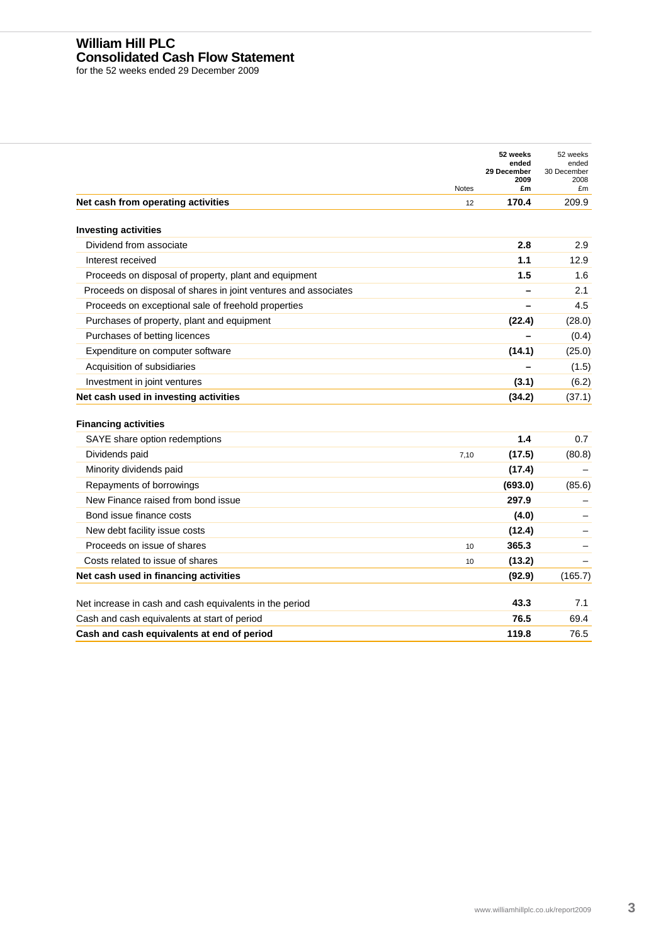## **William Hill PLC Consolidated Cash Flow Statement**

for the 52 weeks ended 29 December 2009

|                                                                 | <b>Notes</b> | 52 weeks<br>ended<br>29 December<br>2009<br>£m | 52 weeks<br>ended<br>30 December<br>2008<br>£m |
|-----------------------------------------------------------------|--------------|------------------------------------------------|------------------------------------------------|
| Net cash from operating activities                              | 12           | 170.4                                          | 209.9                                          |
| <b>Investing activities</b>                                     |              |                                                |                                                |
| Dividend from associate                                         |              | 2.8                                            | 2.9                                            |
| Interest received                                               |              | 1.1                                            | 12.9                                           |
| Proceeds on disposal of property, plant and equipment           |              | 1.5                                            | 1.6                                            |
| Proceeds on disposal of shares in joint ventures and associates |              |                                                | 2.1                                            |
| Proceeds on exceptional sale of freehold properties             |              |                                                | 4.5                                            |
| Purchases of property, plant and equipment                      |              | (22.4)                                         | (28.0)                                         |
| Purchases of betting licences                                   |              |                                                | (0.4)                                          |
| Expenditure on computer software                                |              | (14.1)                                         | (25.0)                                         |
| Acquisition of subsidiaries                                     |              |                                                | (1.5)                                          |
| Investment in joint ventures                                    |              | (3.1)                                          | (6.2)                                          |
| Net cash used in investing activities                           |              | (34.2)                                         | (37.1)                                         |
| <b>Financing activities</b><br>SAYE share option redemptions    |              | 1.4                                            | 0.7                                            |
| Dividends paid                                                  | 7.10         | (17.5)                                         | (80.8)                                         |
| Minority dividends paid                                         |              | (17.4)                                         |                                                |
| Repayments of borrowings                                        |              | (693.0)                                        | (85.6)                                         |
| New Finance raised from bond issue                              |              | 297.9                                          |                                                |
| Bond issue finance costs                                        |              | (4.0)                                          |                                                |
| New debt facility issue costs                                   |              | (12.4)                                         |                                                |
| Proceeds on issue of shares                                     | 10           | 365.3                                          |                                                |
| Costs related to issue of shares                                | 10           | (13.2)                                         |                                                |
| Net cash used in financing activities                           |              | (92.9)                                         | (165.7)                                        |
| Net increase in cash and cash equivalents in the period         |              | 43.3                                           | 7.1                                            |
|                                                                 |              |                                                |                                                |
| Cash and cash equivalents at start of period                    |              | 76.5                                           | 69.4                                           |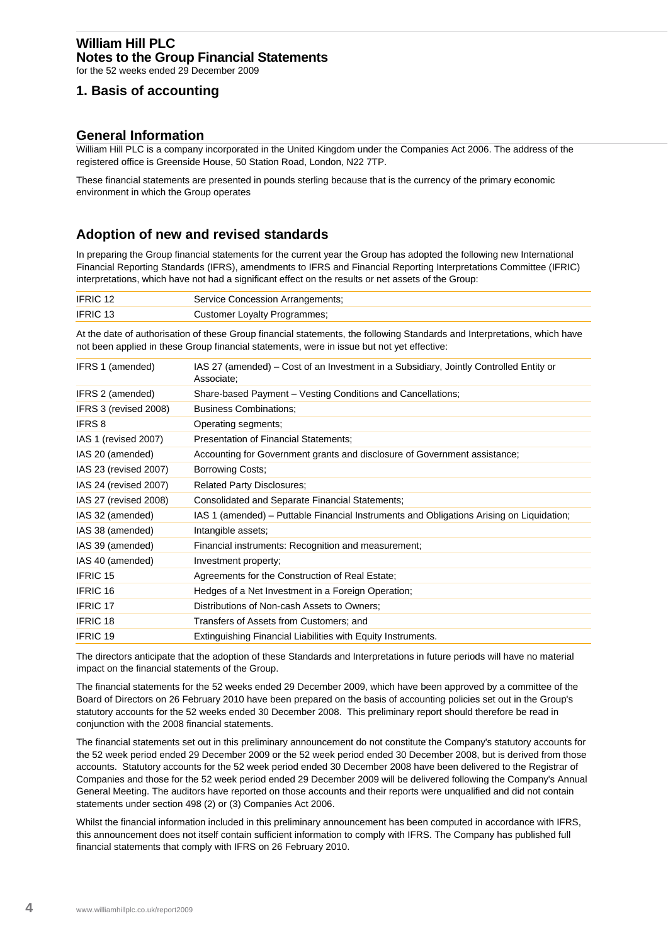## **William Hill PLC Notes to the Group Financial Statements**

for the 52 weeks ended 29 December 2009

# **1. Basis of accounting**

## **General Information**

William Hill PLC is a company incorporated in the United Kingdom under the Companies Act 2006. The address of the registered office is Greenside House, 50 Station Road, London, N22 7TP.

These financial statements are presented in pounds sterling because that is the currency of the primary economic environment in which the Group operates

# <sup>B</sup>**Adoption of new and revised standards**

In preparing the Group financial statements for the current year the Group has adopted the following new International Financial Reporting Standards (IFRS), amendments to IFRS and Financial Reporting Interpretations Committee (IFRIC) interpretations, which have not had a significant effect on the results or net assets of the Group:

| <b>IFRIC 12</b> | Service Concession Arrangements; |
|-----------------|----------------------------------|
| <b>IFRIC 13</b> | Customer Loyalty Programmes;     |

At the date of authorisation of these Group financial statements, the following Standards and Interpretations, which have not been applied in these Group financial statements, were in issue but not yet effective:

| IFRS 1 (amended)      | IAS 27 (amended) – Cost of an Investment in a Subsidiary, Jointly Controlled Entity or<br>Associate; |
|-----------------------|------------------------------------------------------------------------------------------------------|
| IFRS 2 (amended)      | Share-based Payment – Vesting Conditions and Cancellations;                                          |
| IFRS 3 (revised 2008) | <b>Business Combinations:</b>                                                                        |
| <b>IFRS 8</b>         | Operating segments;                                                                                  |
| IAS 1 (revised 2007)  | <b>Presentation of Financial Statements;</b>                                                         |
| IAS 20 (amended)      | Accounting for Government grants and disclosure of Government assistance;                            |
| IAS 23 (revised 2007) | Borrowing Costs;                                                                                     |
| IAS 24 (revised 2007) | <b>Related Party Disclosures;</b>                                                                    |
| IAS 27 (revised 2008) | Consolidated and Separate Financial Statements;                                                      |
| IAS 32 (amended)      | IAS 1 (amended) – Puttable Financial Instruments and Obligations Arising on Liquidation;             |
| IAS 38 (amended)      | Intangible assets;                                                                                   |
| IAS 39 (amended)      | Financial instruments: Recognition and measurement;                                                  |
| IAS 40 (amended)      | Investment property;                                                                                 |
| <b>IFRIC 15</b>       | Agreements for the Construction of Real Estate;                                                      |
| <b>IFRIC 16</b>       | Hedges of a Net Investment in a Foreign Operation;                                                   |
| <b>IFRIC 17</b>       | Distributions of Non-cash Assets to Owners;                                                          |
| <b>IFRIC 18</b>       | Transfers of Assets from Customers; and                                                              |
| <b>IFRIC 19</b>       | Extinguishing Financial Liabilities with Equity Instruments.                                         |

The directors anticipate that the adoption of these Standards and Interpretations in future periods will have no material impact on the financial statements of the Group.

The financial statements for the 52 weeks ended 29 December 2009, which have been approved by a committee of the Board of Directors on 26 February 2010 have been prepared on the basis of accounting policies set out in the Group's statutory accounts for the 52 weeks ended 30 December 2008. This preliminary report should therefore be read in conjunction with the 2008 financial statements.

The financial statements set out in this preliminary announcement do not constitute the Company's statutory accounts for the 52 week period ended 29 December 2009 or the 52 week period ended 30 December 2008, but is derived from those accounts. Statutory accounts for the 52 week period ended 30 December 2008 have been delivered to the Registrar of Companies and those for the 52 week period ended 29 December 2009 will be delivered following the Company's Annual General Meeting. The auditors have reported on those accounts and their reports were unqualified and did not contain statements under section 498 (2) or (3) Companies Act 2006.

Whilst the financial information included in this preliminary announcement has been computed in accordance with IFRS, this announcement does not itself contain sufficient information to comply with IFRS. The Company has published full financial statements that comply with IFRS on 26 February 2010.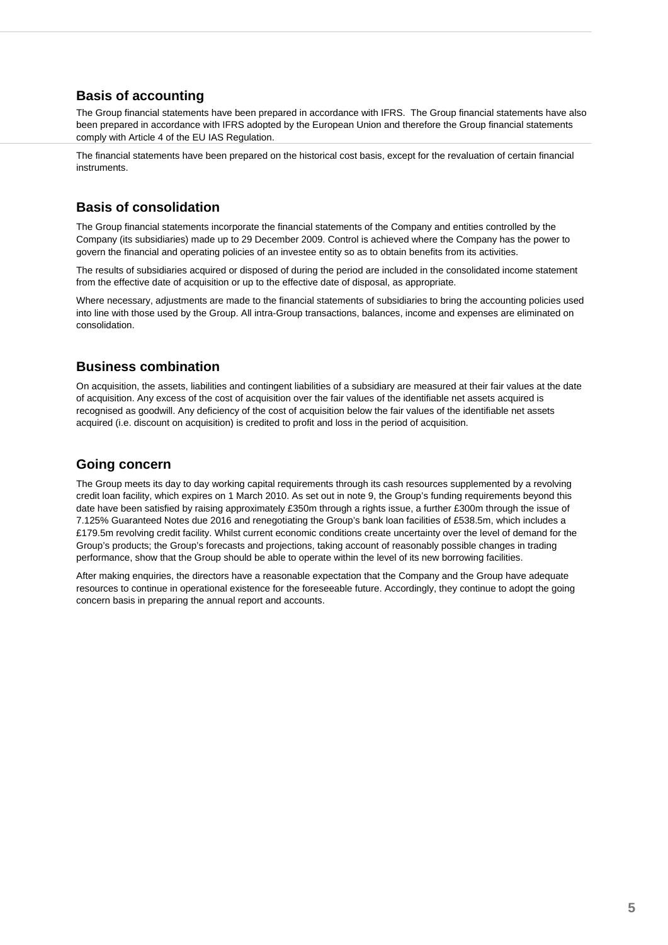# **Basis of accounting**

The Group financial statements have been prepared in accordance with IFRS. The Group financial statements have also been prepared in accordance with IFRS adopted by the European Union and therefore the Group financial statements comply with Article 4 of the EU IAS Regulation.

The financial statements have been prepared on the historical cost basis, except for the revaluation of certain financial instruments.

# 52B**Basis of consolidation**

The Group financial statements incorporate the financial statements of the Company and entities controlled by the Company (its subsidiaries) made up to 29 December 2009. Control is achieved where the Company has the power to govern the financial and operating policies of an investee entity so as to obtain benefits from its activities.

The results of subsidiaries acquired or disposed of during the period are included in the consolidated income statement from the effective date of acquisition or up to the effective date of disposal, as appropriate.

Where necessary, adjustments are made to the financial statements of subsidiaries to bring the accounting policies used into line with those used by the Group. All intra-Group transactions, balances, income and expenses are eliminated on consolidation.

# **Business combination**

On acquisition, the assets, liabilities and contingent liabilities of a subsidiary are measured at their fair values at the date of acquisition. Any excess of the cost of acquisition over the fair values of the identifiable net assets acquired is recognised as goodwill. Any deficiency of the cost of acquisition below the fair values of the identifiable net assets acquired (i.e. discount on acquisition) is credited to profit and loss in the period of acquisition.

# **Going concern**

The Group meets its day to day working capital requirements through its cash resources supplemented by a revolving credit loan facility, which expires on 1 March 2010. As set out in note 9, the Group's funding requirements beyond this date have been satisfied by raising approximately £350m through a rights issue, a further £300m through the issue of 7.125% Guaranteed Notes due 2016 and renegotiating the Group's bank loan facilities of £538.5m, which includes a £179.5m revolving credit facility. Whilst current economic conditions create uncertainty over the level of demand for the Group's products; the Group's forecasts and projections, taking account of reasonably possible changes in trading performance, show that the Group should be able to operate within the level of its new borrowing facilities.

After making enquiries, the directors have a reasonable expectation that the Company and the Group have adequate resources to continue in operational existence for the foreseeable future. Accordingly, they continue to adopt the going concern basis in preparing the annual report and accounts.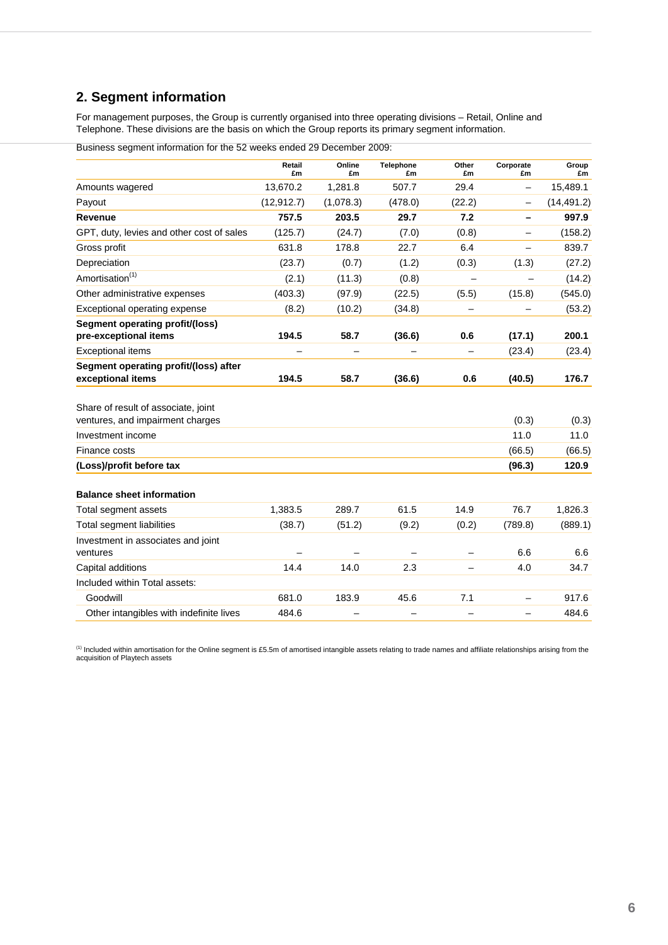# **2. Segment information**

For management purposes, the Group is currently organised into three operating divisions – Retail, Online and Telephone. These divisions are the basis on which the Group reports its primary segment information.

|                                                                         | Retail<br>£m | Online<br>£m | Telephone<br>£m | Other<br>£m              | Corporate<br>£m          | Group<br>£m |
|-------------------------------------------------------------------------|--------------|--------------|-----------------|--------------------------|--------------------------|-------------|
| Amounts wagered                                                         | 13,670.2     | 1,281.8      | 507.7           | 29.4                     | $\qquad \qquad -$        | 15,489.1    |
| Payout                                                                  | (12, 912.7)  | (1,078.3)    | (478.0)         | (22.2)                   | $\overline{\phantom{0}}$ | (14, 491.2) |
| Revenue                                                                 | 757.5        | 203.5        | 29.7            | 7.2                      | $\overline{\phantom{0}}$ | 997.9       |
| GPT, duty, levies and other cost of sales                               | (125.7)      | (24.7)       | (7.0)           | (0.8)                    |                          | (158.2)     |
| Gross profit                                                            | 631.8        | 178.8        | 22.7            | 6.4                      | $\equiv$                 | 839.7       |
| Depreciation                                                            | (23.7)       | (0.7)        | (1.2)           | (0.3)                    | (1.3)                    | (27.2)      |
| Amortisation <sup>(1)</sup>                                             | (2.1)        | (11.3)       | (0.8)           |                          |                          | (14.2)      |
| Other administrative expenses                                           | (403.3)      | (97.9)       | (22.5)          | (5.5)                    | (15.8)                   | (545.0)     |
| Exceptional operating expense                                           | (8.2)        | (10.2)       | (34.8)          |                          |                          | (53.2)      |
| Segment operating profit/(loss)<br>pre-exceptional items                | 194.5        | 58.7         | (36.6)          | 0.6                      | (17.1)                   | 200.1       |
| <b>Exceptional items</b>                                                |              |              |                 |                          | (23.4)                   | (23.4)      |
| Segment operating profit/(loss) after<br>exceptional items              | 194.5        | 58.7         | (36.6)          | 0.6                      | (40.5)                   | 176.7       |
| Share of result of associate, joint<br>ventures, and impairment charges |              |              |                 |                          | (0.3)                    | (0.3)       |
| Investment income                                                       |              |              |                 |                          | 11.0                     | 11.0        |
| Finance costs                                                           |              |              |                 |                          | (66.5)                   | (66.5)      |
| (Loss)/profit before tax                                                |              |              |                 |                          | (96.3)                   | 120.9       |
| <b>Balance sheet information</b>                                        |              |              |                 |                          |                          |             |
| Total segment assets                                                    | 1,383.5      | 289.7        | 61.5            | 14.9                     | 76.7                     | 1,826.3     |
| Total segment liabilities                                               | (38.7)       | (51.2)       | (9.2)           | (0.2)                    | (789.8)                  | (889.1)     |
| Investment in associates and joint<br>ventures                          |              |              |                 |                          | 6.6                      | 6.6         |
| Capital additions                                                       | 14.4         | 14.0         | 2.3             |                          | 4.0                      | 34.7        |
| Included within Total assets:                                           |              |              |                 |                          |                          |             |
| Goodwill                                                                | 681.0        | 183.9        | 45.6            | 7.1                      | $\overline{\phantom{0}}$ | 917.6       |
| Other intangibles with indefinite lives                                 | 484.6        | —            |                 | $\overline{\phantom{0}}$ | $\qquad \qquad -$        | 484.6       |

Business segment information for the 52 weeks ended 29 December 2009:

<sup>(1)</sup> Included within amortisation for the Online segment is £5.5m of amortised intangible assets relating to trade names and affiliate relationships arising from the acquisition of Playtech assets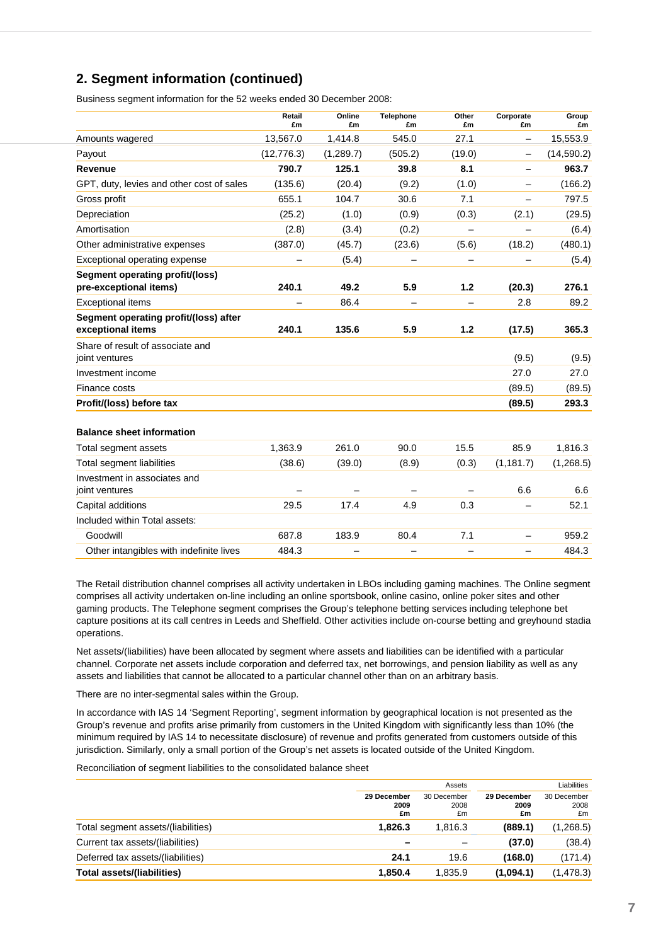# **2. Segment information (continued)**

Business segment information for the 52 weeks ended 30 December 2008:

|                                                            | Retail<br>£m | Online<br>£m | <b>Telephone</b><br>£m | Other<br>£m              | Corporate<br>£m          | Group<br>£m |
|------------------------------------------------------------|--------------|--------------|------------------------|--------------------------|--------------------------|-------------|
| Amounts wagered                                            | 13,567.0     | 1,414.8      | 545.0                  | 27.1                     | $\overline{\phantom{0}}$ | 15,553.9    |
| Payout                                                     | (12, 776.3)  | (1,289.7)    | (505.2)                | (19.0)                   | $\qquad \qquad -$        | (14, 590.2) |
| Revenue                                                    | 790.7        | 125.1        | 39.8                   | 8.1                      | -                        | 963.7       |
| GPT, duty, levies and other cost of sales                  | (135.6)      | (20.4)       | (9.2)                  | (1.0)                    | $\overline{\phantom{0}}$ | (166.2)     |
| Gross profit                                               | 655.1        | 104.7        | 30.6                   | 7.1                      | $\overline{\phantom{0}}$ | 797.5       |
| Depreciation                                               | (25.2)       | (1.0)        | (0.9)                  | (0.3)                    | (2.1)                    | (29.5)      |
| Amortisation                                               | (2.8)        | (3.4)        | (0.2)                  | $\overline{\phantom{0}}$ |                          | (6.4)       |
| Other administrative expenses                              | (387.0)      | (45.7)       | (23.6)                 | (5.6)                    | (18.2)                   | (480.1)     |
| Exceptional operating expense                              |              | (5.4)        |                        |                          |                          | (5.4)       |
| Segment operating profit/(loss)<br>pre-exceptional items)  | 240.1        | 49.2         | 5.9                    | 1.2                      | (20.3)                   | 276.1       |
| <b>Exceptional items</b>                                   |              | 86.4         |                        | $\overline{\phantom{0}}$ | 2.8                      | 89.2        |
| Segment operating profit/(loss) after<br>exceptional items | 240.1        | 135.6        | 5.9                    | 1.2                      | (17.5)                   | 365.3       |
| Share of result of associate and<br>joint ventures         |              |              |                        |                          | (9.5)                    | (9.5)       |
| Investment income                                          |              |              |                        |                          | 27.0                     | 27.0        |
| Finance costs                                              |              |              |                        |                          | (89.5)                   | (89.5)      |
| Profit/(loss) before tax                                   |              |              |                        |                          | (89.5)                   | 293.3       |
| <b>Balance sheet information</b>                           |              |              |                        |                          |                          |             |
| Total segment assets                                       | 1,363.9      | 261.0        | 90.0                   | 15.5                     | 85.9                     | 1,816.3     |
| Total segment liabilities                                  | (38.6)       | (39.0)       | (8.9)                  | (0.3)                    | (1, 181.7)               | (1,268.5)   |
| Investment in associates and<br>joint ventures             |              |              |                        |                          | 6.6                      | 6.6         |
| Capital additions                                          | 29.5         | 17.4         | 4.9                    | 0.3                      |                          | 52.1        |
| Included within Total assets:                              |              |              |                        |                          |                          |             |
| Goodwill                                                   | 687.8        | 183.9        | 80.4                   | 7.1                      |                          | 959.2       |
| Other intangibles with indefinite lives                    | 484.3        |              |                        |                          |                          | 484.3       |

The Retail distribution channel comprises all activity undertaken in LBOs including gaming machines. The Online segment comprises all activity undertaken on-line including an online sportsbook, online casino, online poker sites and other gaming products. The Telephone segment comprises the Group's telephone betting services including telephone bet capture positions at its call centres in Leeds and Sheffield. Other activities include on-course betting and greyhound stadia operations.

Net assets/(liabilities) have been allocated by segment where assets and liabilities can be identified with a particular channel. Corporate net assets include corporation and deferred tax, net borrowings, and pension liability as well as any assets and liabilities that cannot be allocated to a particular channel other than on an arbitrary basis.

There are no inter-segmental sales within the Group.

In accordance with IAS 14 'Segment Reporting', segment information by geographical location is not presented as the Group's revenue and profits arise primarily from customers in the United Kingdom with significantly less than 10% (the minimum required by IAS 14 to necessitate disclosure) of revenue and profits generated from customers outside of this jurisdiction. Similarly, only a small portion of the Group's net assets is located outside of the United Kingdom.

Reconciliation of segment liabilities to the consolidated balance sheet

|                                    |                           | Assets                    |                           | Liabilities               |
|------------------------------------|---------------------------|---------------------------|---------------------------|---------------------------|
|                                    | 29 December<br>2009<br>£m | 30 December<br>2008<br>£m | 29 December<br>2009<br>£m | 30 December<br>2008<br>£m |
| Total segment assets/(liabilities) | 1.826.3                   | 1.816.3                   | (889.1)                   | (1,268.5)                 |
| Current tax assets/(liabilities)   |                           |                           | (37.0)                    | (38.4)                    |
| Deferred tax assets/(liabilities)  | 24.1                      | 19.6                      | (168.0)                   | (171.4)                   |
| <b>Total assets/(liabilities)</b>  | 1,850.4                   | 1,835.9                   | (1,094.1)                 | (1, 478.3)                |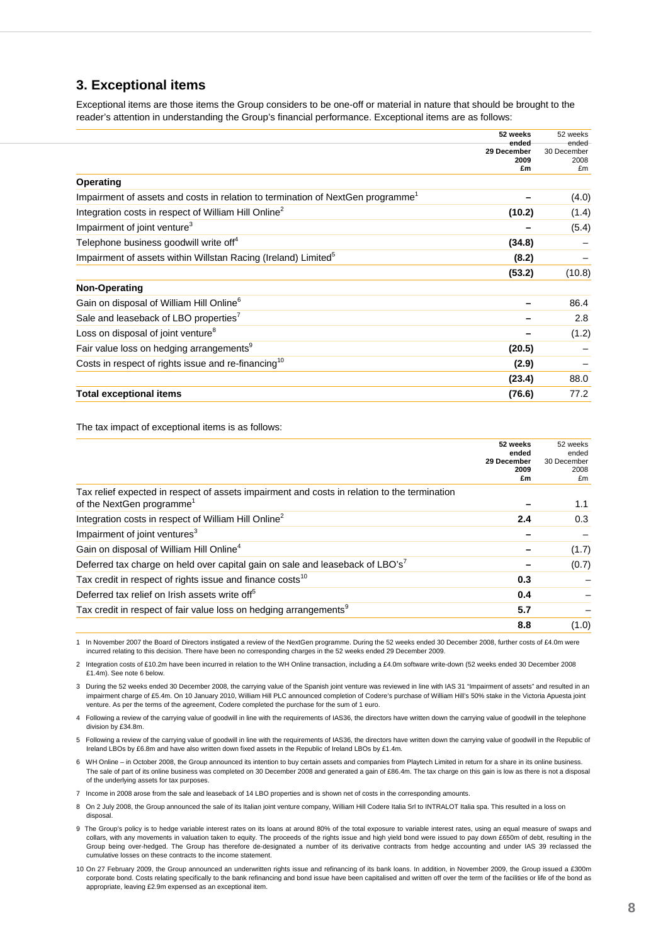## **3. Exceptional items**

Exceptional items are those items the Group considers to be one-off or material in nature that should be brought to the reader's attention in understanding the Group's financial performance. Exceptional items are as follows:

|                                                                                | 52 weeks             | 52 weeks             |
|--------------------------------------------------------------------------------|----------------------|----------------------|
|                                                                                | ended<br>29 December | ended<br>30 December |
|                                                                                | 2009<br>£m           | 2008<br>£m           |
|                                                                                |                      |                      |
| Operating                                                                      |                      |                      |
| Impairment of assets and costs in relation to termination of NextGen programme |                      | (4.0)                |
| Integration costs in respect of William Hill Online <sup>2</sup>               | (10.2)               | (1.4)                |
| Impairment of joint venture <sup>3</sup>                                       |                      | (5.4)                |
| Telephone business goodwill write off <sup>4</sup>                             | (34.8)               |                      |
| Impairment of assets within Willstan Racing (Ireland) Limited <sup>5</sup>     | (8.2)                |                      |
|                                                                                | (53.2)               | (10.8)               |
| <b>Non-Operating</b>                                                           |                      |                      |
| Gain on disposal of William Hill Online <sup>6</sup>                           |                      | 86.4                 |
| Sale and leaseback of LBO properties'                                          |                      | 2.8                  |
| Loss on disposal of joint venture <sup>8</sup>                                 |                      | (1.2)                |
| Fair value loss on hedging arrangements <sup>9</sup>                           | (20.5)               |                      |
| Costs in respect of rights issue and re-financing <sup>10</sup>                | (2.9)                |                      |
|                                                                                | (23.4)               | 88.0                 |
| <b>Total exceptional items</b>                                                 | (76.6)               | 77.2                 |

The tax impact of exceptional items is as follows:

|                                                                                                                                       | 52 weeks<br>ended<br>29 December<br>2009<br>£m | 52 weeks<br>ended<br>30 December<br>2008<br>£m |
|---------------------------------------------------------------------------------------------------------------------------------------|------------------------------------------------|------------------------------------------------|
| Tax relief expected in respect of assets impairment and costs in relation to the termination<br>of the NextGen programme <sup>1</sup> |                                                | 1.1                                            |
| Integration costs in respect of William Hill Online <sup>2</sup>                                                                      | 2.4                                            | 0.3                                            |
| Impairment of joint ventures <sup>3</sup>                                                                                             |                                                |                                                |
| Gain on disposal of William Hill Online <sup>4</sup>                                                                                  |                                                | (1.7)                                          |
| Deferred tax charge on held over capital gain on sale and leaseback of LBO's'                                                         |                                                | (0.7)                                          |
| Tax credit in respect of rights issue and finance costs <sup>10</sup>                                                                 | 0.3                                            |                                                |
| Deferred tax relief on Irish assets write off <sup>5</sup>                                                                            | 0.4                                            |                                                |
| Tax credit in respect of fair value loss on hedging arrangements <sup>9</sup>                                                         | 5.7                                            |                                                |
|                                                                                                                                       | 8.8                                            | (1.0)                                          |

1 In November 2007 the Board of Directors instigated a review of the NextGen programme. During the 52 weeks ended 30 December 2008, further costs of £4.0m were incurred relating to this decision. There have been no corresponding charges in the 52 weeks ended 29 December 2009.

2 Integration costs of £10.2m have been incurred in relation to the WH Online transaction, including a £4.0m software write-down (52 weeks ended 30 December 2008 £1.4m). See note 6 below.

3 During the 52 weeks ended 30 December 2008, the carrying value of the Spanish joint venture was reviewed in line with IAS 31 "Impairment of assets" and resulted in an impairment charge of £5.4m. On 10 January 2010, William Hill PLC announced completion of Codere's purchase of William Hill's 50% stake in the Victoria Apuesta joint venture. As per the terms of the agreement, Codere completed the purchase for the sum of 1 euro.

4 Following a review of the carrying value of goodwill in line with the requirements of IAS36, the directors have written down the carrying value of goodwill in the telephone division by £34.8m.

5 Following a review of the carrying value of goodwill in line with the requirements of IAS36, the directors have written down the carrying value of goodwill in the Republic of Ireland LBOs by £6.8m and have also written down fixed assets in the Republic of Ireland LBOs by £1.4m.

6 WH Online – in October 2008, the Group announced its intention to buy certain assets and companies from Playtech Limited in return for a share in its online business. The sale of part of its online business was completed on 30 December 2008 and generated a gain of £86.4m. The tax charge on this gain is low as there is not a disposal of the underlying assets for tax purposes.

7 Income in 2008 arose from the sale and leaseback of 14 LBO properties and is shown net of costs in the corresponding amounts.

8 On 2 July 2008, the Group announced the sale of its Italian joint venture company, William Hill Codere Italia Srl to INTRALOT Italia spa. This resulted in a loss on disposal.

- 9 The Group's policy is to hedge variable interest rates on its loans at around 80% of the total exposure to variable interest rates, using an equal measure of swaps and collars, with any movements in valuation taken to equity. The proceeds of the rights issue and high yield bond were issued to pay down £650m of debt, resulting in the Group being over-hedged. The Group has therefore de-designated a number of its derivative contracts from hedge accounting and under IAS 39 reclassed the cumulative losses on these contracts to the income statement.
- 10 On 27 February 2009, the Group announced an underwritten rights issue and refinancing of its bank loans. In addition, in November 2009, the Group issued a £300m corporate bond. Costs relating specifically to the bank refinancing and bond issue have been capitalised and written off over the term of the facilities or life of the bond as appropriate, leaving £2.9m expensed as an exceptional item.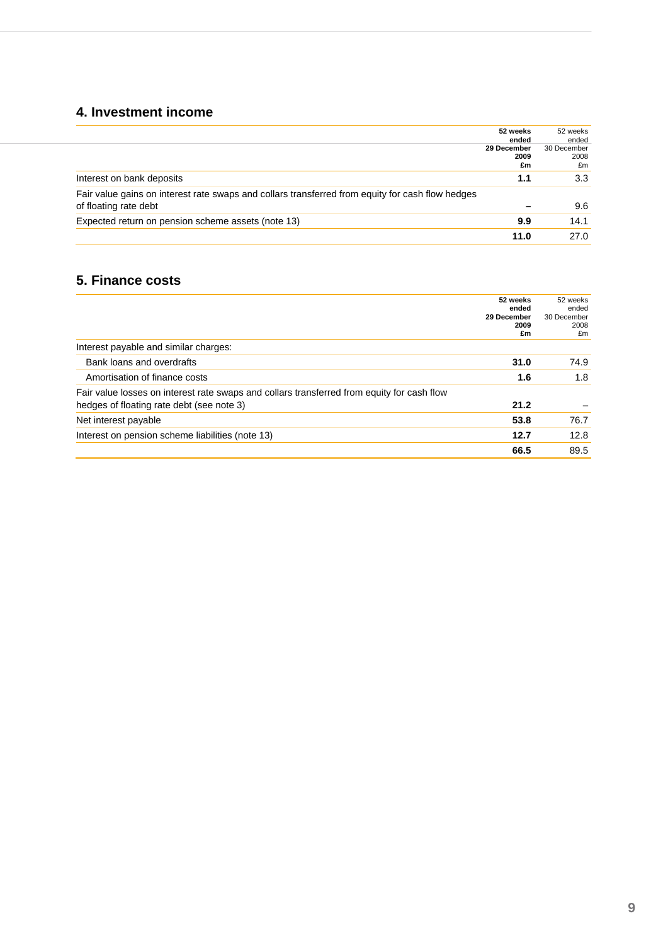# **4. Investment income**

|                                                                                                                           | 52 weeks<br>ended         | 52 weeks<br>ended         |
|---------------------------------------------------------------------------------------------------------------------------|---------------------------|---------------------------|
|                                                                                                                           | 29 December<br>2009<br>£m | 30 December<br>2008<br>£m |
| Interest on bank deposits                                                                                                 | 1.1                       | 3.3                       |
| Fair value gains on interest rate swaps and collars transferred from equity for cash flow hedges<br>of floating rate debt |                           | 9.6                       |
| Expected return on pension scheme assets (note 13)                                                                        | 9.9                       | 14.1                      |
|                                                                                                                           | 11.0                      | 27.0                      |

# **5. Finance costs**

|                                                                                            | 52 weeks<br>ended         | 52 weeks<br>ended         |
|--------------------------------------------------------------------------------------------|---------------------------|---------------------------|
|                                                                                            | 29 December<br>2009<br>£m | 30 December<br>2008<br>£m |
| Interest payable and similar charges:                                                      |                           |                           |
| Bank loans and overdrafts                                                                  | 31.0                      | 74.9                      |
| Amortisation of finance costs                                                              | 1.6                       | 1.8                       |
| Fair value losses on interest rate swaps and collars transferred from equity for cash flow |                           |                           |
| hedges of floating rate debt (see note 3)                                                  | 21.2                      |                           |
| Net interest payable                                                                       | 53.8                      | 76.7                      |
| Interest on pension scheme liabilities (note 13)                                           | 12.7                      | 12.8                      |
|                                                                                            | 66.5                      | 89.5                      |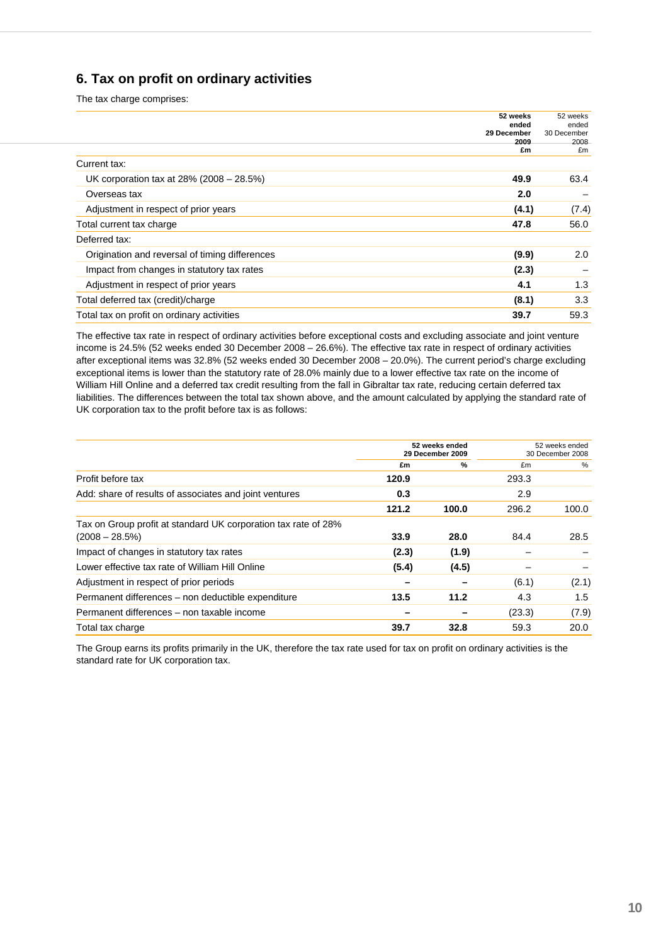# **6. Tax on profit on ordinary activities**

The tax charge comprises:

|                                                | 52 weeks<br>ended<br>29 December<br>2009 | 52 weeks<br>ended<br>30 December<br>2008 |
|------------------------------------------------|------------------------------------------|------------------------------------------|
| Current tax:                                   | £m                                       | £m                                       |
|                                                |                                          |                                          |
| UK corporation tax at 28% (2008 - 28.5%)       | 49.9                                     | 63.4                                     |
| Overseas tax                                   | 2.0                                      |                                          |
| Adjustment in respect of prior years           | (4.1)                                    | (7.4)                                    |
| Total current tax charge                       | 47.8                                     | 56.0                                     |
| Deferred tax:                                  |                                          |                                          |
| Origination and reversal of timing differences | (9.9)                                    | 2.0                                      |
| Impact from changes in statutory tax rates     | (2.3)                                    |                                          |
| Adjustment in respect of prior years           | 4.1                                      | 1.3                                      |
| Total deferred tax (credit)/charge             | (8.1)                                    | 3.3                                      |
| Total tax on profit on ordinary activities     | 39.7                                     | 59.3                                     |

The effective tax rate in respect of ordinary activities before exceptional costs and excluding associate and joint venture income is 24.5% (52 weeks ended 30 December 2008 – 26.6%). The effective tax rate in respect of ordinary activities after exceptional items was 32.8% (52 weeks ended 30 December 2008 – 20.0%). The current period's charge excluding exceptional items is lower than the statutory rate of 28.0% mainly due to a lower effective tax rate on the income of William Hill Online and a deferred tax credit resulting from the fall in Gibraltar tax rate, reducing certain deferred tax liabilities. The differences between the total tax shown above, and the amount calculated by applying the standard rate of UK corporation tax to the profit before tax is as follows:

|                                                                                    | 52 weeks ended<br>29 December 2009 |               | 52 weeks ended<br>30 December 2008 |       |
|------------------------------------------------------------------------------------|------------------------------------|---------------|------------------------------------|-------|
|                                                                                    | £m                                 | $\frac{9}{6}$ | £m                                 | %     |
| Profit before tax                                                                  | 120.9                              |               | 293.3                              |       |
| Add: share of results of associates and joint ventures                             | 0.3                                |               | 2.9                                |       |
|                                                                                    | 121.2                              | 100.0         | 296.2                              | 100.0 |
| Tax on Group profit at standard UK corporation tax rate of 28%<br>$(2008 - 28.5%)$ | 33.9                               | 28.0          | 84.4                               | 28.5  |
| Impact of changes in statutory tax rates                                           | (2.3)                              | (1.9)         |                                    |       |
| Lower effective tax rate of William Hill Online                                    | (5.4)                              | (4.5)         |                                    |       |
| Adjustment in respect of prior periods                                             |                                    |               | (6.1)                              | (2.1) |
| Permanent differences – non deductible expenditure                                 | 13.5                               | 11.2          | 4.3                                | 1.5   |
| Permanent differences - non taxable income                                         |                                    |               | (23.3)                             | (7.9) |
| Total tax charge                                                                   | 39.7                               | 32.8          | 59.3                               | 20.0  |

The Group earns its profits primarily in the UK, therefore the tax rate used for tax on profit on ordinary activities is the standard rate for UK corporation tax.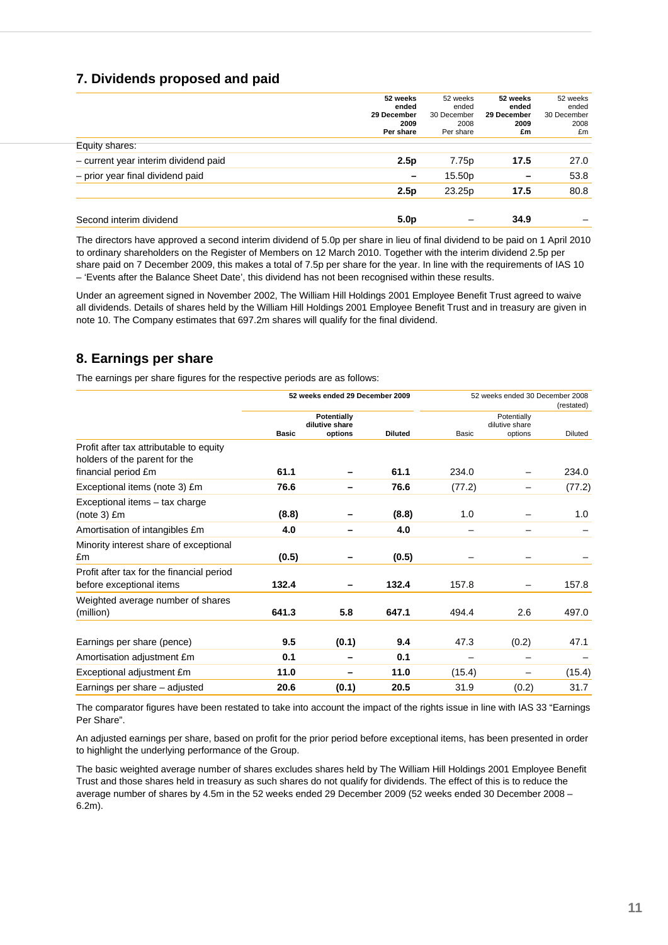# **7. Dividends proposed and paid**

|                                      | 52 weeks<br>ended<br>29 December<br>2009<br>Per share | 52 weeks<br>ended<br>30 December<br>2008<br>Per share | 52 weeks<br>ended<br>29 December<br>2009<br>£m | 52 weeks<br>ended<br>30 December<br>2008<br>£m |
|--------------------------------------|-------------------------------------------------------|-------------------------------------------------------|------------------------------------------------|------------------------------------------------|
| Equity shares:                       |                                                       |                                                       |                                                |                                                |
| - current year interim dividend paid | 2.5p                                                  | 7.75p                                                 | 17.5                                           | 27.0                                           |
| - prior year final dividend paid     |                                                       | 15.50p                                                |                                                | 53.8                                           |
|                                      | 2.5p                                                  | 23.25p                                                | 17.5                                           | 80.8                                           |
| Second interim dividend              | 5.0 <sub>p</sub>                                      |                                                       | 34.9                                           |                                                |

The directors have approved a second interim dividend of 5.0p per share in lieu of final dividend to be paid on 1 April 2010 to ordinary shareholders on the Register of Members on 12 March 2010. Together with the interim dividend 2.5p per share paid on 7 December 2009, this makes a total of 7.5p per share for the year. In line with the requirements of IAS 10 – 'Events after the Balance Sheet Date', this dividend has not been recognised within these results.

Under an agreement signed in November 2002, The William Hill Holdings 2001 Employee Benefit Trust agreed to waive all dividends. Details of shares held by the William Hill Holdings 2001 Employee Benefit Trust and in treasury are given in note 10. The Company estimates that 697.2m shares will qualify for the final dividend.

# **8. Earnings per share**

The earnings per share figures for the respective periods are as follows:

|                                                                          | 52 weeks ended 29 December 2009                                 |       |                |        | 52 weeks ended 30 December 2008<br>(restated) |                |  |  |
|--------------------------------------------------------------------------|-----------------------------------------------------------------|-------|----------------|--------|-----------------------------------------------|----------------|--|--|
|                                                                          | <b>Potentially</b><br>dilutive share<br>options<br><b>Basic</b> |       | <b>Diluted</b> | Basic  | Potentially<br>dilutive share<br>options      | <b>Diluted</b> |  |  |
| Profit after tax attributable to equity<br>holders of the parent for the |                                                                 |       |                |        |                                               |                |  |  |
| financial period £m                                                      | 61.1                                                            |       | 61.1           | 234.0  |                                               | 234.0          |  |  |
| Exceptional items (note 3) £m                                            | 76.6                                                            |       | 76.6           | (77.2) |                                               | (77.2)         |  |  |
| Exceptional items – tax charge<br>$(note 3)$ $Em$                        | (8.8)                                                           |       | (8.8)          | 1.0    |                                               | 1.0            |  |  |
| Amortisation of intangibles £m                                           | 4.0                                                             |       | 4.0            |        |                                               |                |  |  |
| Minority interest share of exceptional<br>£m                             | (0.5)                                                           |       | (0.5)          |        |                                               |                |  |  |
| Profit after tax for the financial period<br>before exceptional items    | 132.4                                                           |       | 132.4          | 157.8  |                                               | 157.8          |  |  |
| Weighted average number of shares<br>(million)                           | 641.3                                                           | 5.8   | 647.1          | 494.4  | 2.6                                           | 497.0          |  |  |
| Earnings per share (pence)                                               | 9.5                                                             | (0.1) | 9.4            | 47.3   | (0.2)                                         | 47.1           |  |  |
| Amortisation adjustment £m                                               | 0.1                                                             |       | 0.1            |        |                                               |                |  |  |
| Exceptional adjustment £m                                                | 11.0                                                            |       | 11.0           | (15.4) |                                               | (15.4)         |  |  |
| Earnings per share - adjusted                                            | 20.6                                                            | (0.1) | 20.5           | 31.9   | (0.2)                                         | 31.7           |  |  |

The comparator figures have been restated to take into account the impact of the rights issue in line with IAS 33 "Earnings Per Share".

An adjusted earnings per share, based on profit for the prior period before exceptional items, has been presented in order to highlight the underlying performance of the Group.

The basic weighted average number of shares excludes shares held by The William Hill Holdings 2001 Employee Benefit Trust and those shares held in treasury as such shares do not qualify for dividends. The effect of this is to reduce the average number of shares by 4.5m in the 52 weeks ended 29 December 2009 (52 weeks ended 30 December 2008 – 6.2m).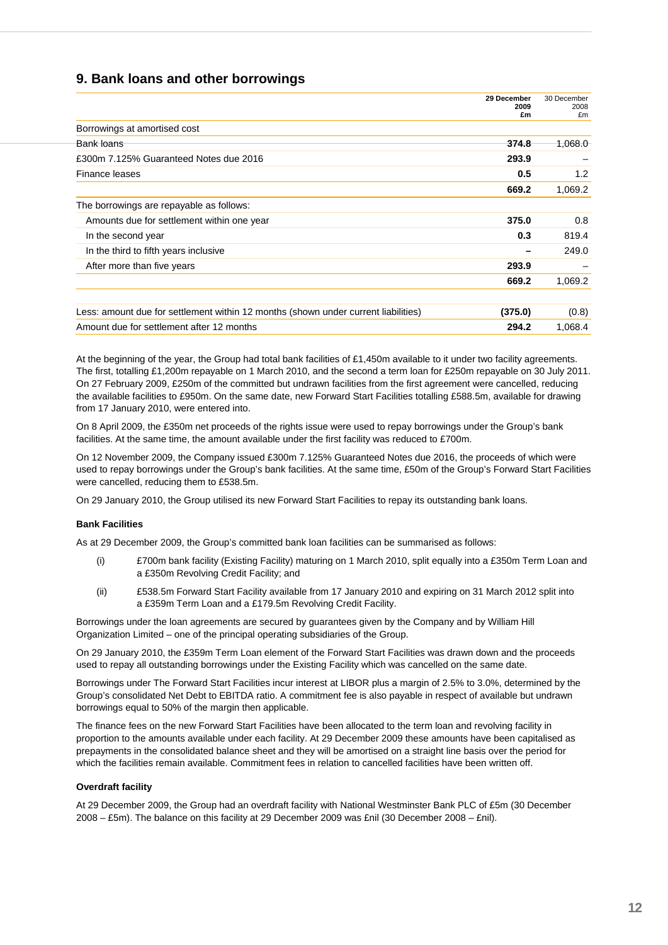# **9. Bank loans and other borrowings**

|                                                                                    | 29 December<br>2009<br>£m | 30 December<br>2008<br>£m |
|------------------------------------------------------------------------------------|---------------------------|---------------------------|
| Borrowings at amortised cost                                                       |                           |                           |
| Bank loans                                                                         | 374.8                     | 1,068.0                   |
| £300m 7.125% Guaranteed Notes due 2016                                             | 293.9                     |                           |
| Finance leases                                                                     | 0.5                       | 1.2                       |
|                                                                                    | 669.2                     | 1,069.2                   |
| The borrowings are repayable as follows:                                           |                           |                           |
| Amounts due for settlement within one year                                         | 375.0                     | 0.8                       |
| In the second year                                                                 | 0.3                       | 819.4                     |
| In the third to fifth years inclusive                                              |                           | 249.0                     |
| After more than five years                                                         | 293.9                     |                           |
|                                                                                    | 669.2                     | 1,069.2                   |
|                                                                                    |                           |                           |
| Less: amount due for settlement within 12 months (shown under current liabilities) | (375.0)                   | (0.8)                     |
| Amount due for settlement after 12 months                                          | 294.2                     | 1,068.4                   |

At the beginning of the year, the Group had total bank facilities of £1,450m available to it under two facility agreements. The first, totalling £1,200m repayable on 1 March 2010, and the second a term loan for £250m repayable on 30 July 2011. On 27 February 2009, £250m of the committed but undrawn facilities from the first agreement were cancelled, reducing the available facilities to £950m. On the same date, new Forward Start Facilities totalling £588.5m, available for drawing from 17 January 2010, were entered into.

On 8 April 2009, the £350m net proceeds of the rights issue were used to repay borrowings under the Group's bank facilities. At the same time, the amount available under the first facility was reduced to £700m.

On 12 November 2009, the Company issued £300m 7.125% Guaranteed Notes due 2016, the proceeds of which were used to repay borrowings under the Group's bank facilities. At the same time, £50m of the Group's Forward Start Facilities were cancelled, reducing them to £538.5m.

On 29 January 2010, the Group utilised its new Forward Start Facilities to repay its outstanding bank loans.

#### 10B**Bank Facilities**

As at 29 December 2009, the Group's committed bank loan facilities can be summarised as follows:

- (i) £700m bank facility (Existing Facility) maturing on 1 March 2010, split equally into a £350m Term Loan and a £350m Revolving Credit Facility; and
- (ii) £538.5m Forward Start Facility available from 17 January 2010 and expiring on 31 March 2012 split into a £359m Term Loan and a £179.5m Revolving Credit Facility.

Borrowings under the loan agreements are secured by guarantees given by the Company and by William Hill Organization Limited – one of the principal operating subsidiaries of the Group.

On 29 January 2010, the £359m Term Loan element of the Forward Start Facilities was drawn down and the proceeds used to repay all outstanding borrowings under the Existing Facility which was cancelled on the same date.

Borrowings under The Forward Start Facilities incur interest at LIBOR plus a margin of 2.5% to 3.0%, determined by the Group's consolidated Net Debt to EBITDA ratio. A commitment fee is also payable in respect of available but undrawn borrowings equal to 50% of the margin then applicable.

The finance fees on the new Forward Start Facilities have been allocated to the term loan and revolving facility in proportion to the amounts available under each facility. At 29 December 2009 these amounts have been capitalised as prepayments in the consolidated balance sheet and they will be amortised on a straight line basis over the period for which the facilities remain available. Commitment fees in relation to cancelled facilities have been written off.

#### **Overdraft facility**

At 29 December 2009, the Group had an overdraft facility with National Westminster Bank PLC of £5m (30 December 2008 – £5m). The balance on this facility at 29 December 2009 was £nil (30 December 2008 – £nil).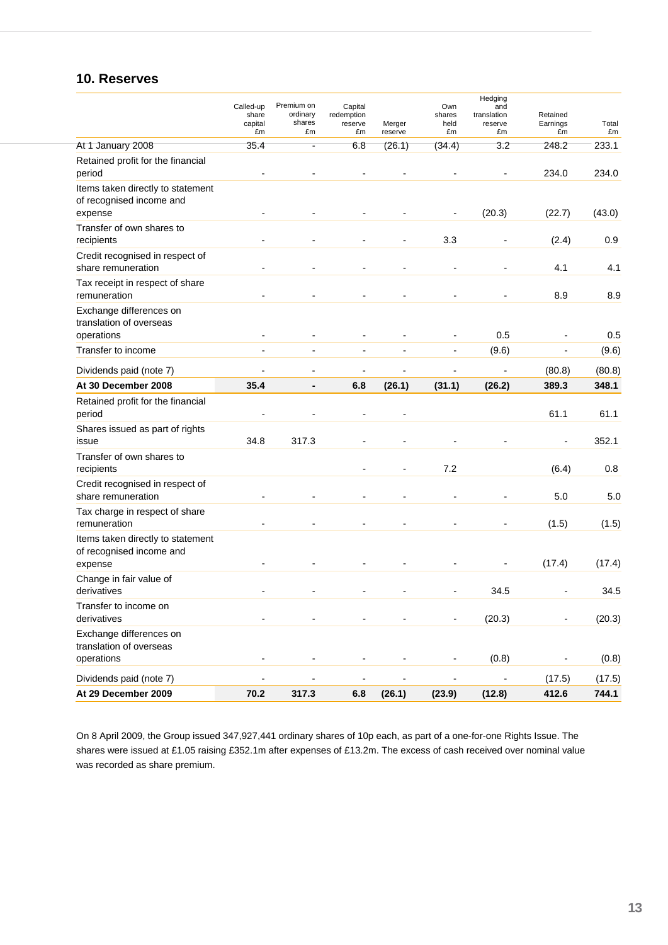# **10. Reserves**

|                                                                          | Called-up<br>share<br>capital<br>£m | Premium on<br>ordinary<br>shares<br>£m | Capital<br>redemption<br>reserve<br>£m | Merger<br>reserve | Own<br>shares<br>held<br>£m | Hedging<br>and<br>translation<br>reserve<br>£m | Retained<br>Earnings<br>£m | Total<br>£m    |
|--------------------------------------------------------------------------|-------------------------------------|----------------------------------------|----------------------------------------|-------------------|-----------------------------|------------------------------------------------|----------------------------|----------------|
| At 1 January 2008                                                        | 35.4                                | Ξ                                      | 6.8                                    | (26.1)            | (34.4)                      | 3.2                                            | 248.2                      | 233.1          |
| Retained profit for the financial<br>period                              |                                     |                                        |                                        |                   |                             |                                                | 234.0                      | 234.0          |
| Items taken directly to statement<br>of recognised income and<br>expense |                                     |                                        |                                        |                   |                             | (20.3)                                         | (22.7)                     | (43.0)         |
| Transfer of own shares to<br>recipients                                  |                                     |                                        |                                        |                   | 3.3                         |                                                | (2.4)                      | 0.9            |
| Credit recognised in respect of<br>share remuneration                    |                                     |                                        |                                        |                   |                             |                                                | 4.1                        | 4.1            |
| Tax receipt in respect of share<br>remuneration                          |                                     |                                        |                                        |                   |                             |                                                | 8.9                        | 8.9            |
| Exchange differences on<br>translation of overseas                       |                                     |                                        |                                        |                   |                             |                                                |                            |                |
| operations                                                               |                                     | $\overline{a}$                         |                                        |                   |                             | 0.5                                            |                            | 0.5            |
| Transfer to income                                                       |                                     | $\blacksquare$                         | $\blacksquare$                         | $\overline{a}$    |                             | (9.6)                                          | ٠                          | (9.6)          |
| Dividends paid (note 7)                                                  |                                     | ۰                                      | ۰                                      |                   |                             |                                                | (80.8)                     | (80.8)         |
| At 30 December 2008                                                      | 35.4                                | $\blacksquare$                         | 6.8                                    | (26.1)            | (31.1)                      | (26.2)                                         | 389.3                      | 348.1          |
| Retained profit for the financial<br>period                              |                                     |                                        |                                        |                   |                             |                                                | 61.1                       | 61.1           |
| Shares issued as part of rights<br>issue                                 | 34.8                                | 317.3                                  |                                        |                   |                             |                                                |                            | 352.1          |
| Transfer of own shares to<br>recipients                                  |                                     |                                        |                                        |                   | 7.2                         |                                                | (6.4)                      | 0.8            |
| Credit recognised in respect of<br>share remuneration                    |                                     |                                        | $\blacksquare$                         |                   |                             |                                                | 5.0                        | 5.0            |
| Tax charge in respect of share<br>remuneration                           |                                     |                                        |                                        |                   |                             |                                                | (1.5)                      | (1.5)          |
| Items taken directly to statement<br>of recognised income and            |                                     |                                        |                                        |                   |                             |                                                |                            |                |
| expense<br>Change in fair value of<br>derivatives                        |                                     |                                        |                                        |                   |                             | 34.5                                           | (17.4)                     | (17.4)<br>34.5 |
| Transfer to income on<br>derivatives                                     |                                     |                                        |                                        |                   |                             | (20.3)                                         |                            | (20.3)         |
| Exchange differences on<br>translation of overseas                       |                                     |                                        |                                        |                   |                             |                                                |                            |                |
| operations                                                               | ۰                                   |                                        |                                        |                   |                             | (0.8)                                          |                            | (0.8)          |
| Dividends paid (note 7)                                                  |                                     |                                        |                                        |                   |                             |                                                | (17.5)                     | (17.5)         |
| At 29 December 2009                                                      | 70.2                                | 317.3                                  | 6.8                                    | (26.1)            | (23.9)                      | (12.8)                                         | 412.6                      | 744.1          |

On 8 April 2009, the Group issued 347,927,441 ordinary shares of 10p each, as part of a one-for-one Rights Issue. The shares were issued at £1.05 raising £352.1m after expenses of £13.2m. The excess of cash received over nominal value was recorded as share premium.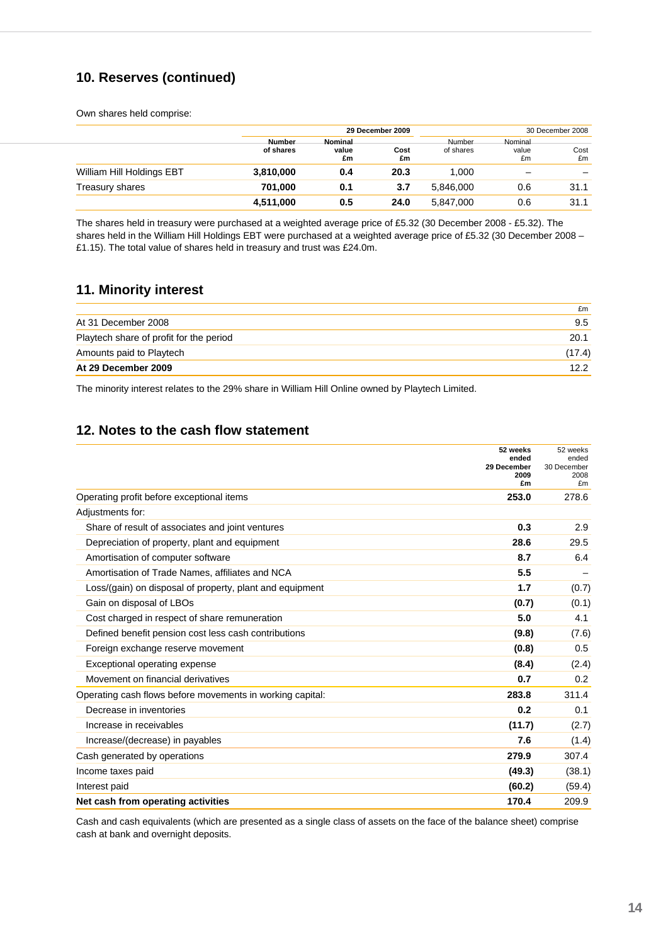# **10. Reserves (continued)**

Own shares held comprise:

|                           |                     | 29 December 2009       |            |                     |                        | 30 December 2008 |
|---------------------------|---------------------|------------------------|------------|---------------------|------------------------|------------------|
|                           | Number<br>of shares | Nominal<br>value<br>£m | Cost<br>£m | Number<br>of shares | Nominal<br>value<br>£m | Cost<br>£m       |
| William Hill Holdings EBT | 3,810,000           | 0.4                    | 20.3       | 1.000               |                        |                  |
| Treasury shares           | 701.000             | 0.1                    | 3.7        | 5,846,000           | 0.6                    | 31.1             |
|                           | 4,511,000           | 0.5                    | 24.0       | 5,847,000           | 0.6                    | 31.1             |

The shares held in treasury were purchased at a weighted average price of £5.32 (30 December 2008 - £5.32). The shares held in the William Hill Holdings EBT were purchased at a weighted average price of £5.32 (30 December 2008 – £1.15). The total value of shares held in treasury and trust was £24.0m.

## **11. Minority interest**

|                                         | £m     |
|-----------------------------------------|--------|
| At 31 December 2008                     | 9.5    |
| Playtech share of profit for the period | 20.1   |
| Amounts paid to Playtech                | (17.4) |
| At 29 December 2009                     | 12.2   |

The minority interest relates to the 29% share in William Hill Online owned by Playtech Limited.

# **12. Notes to the cash flow statement**

|                                                           | 52 weeks<br>ended<br>29 December<br>2009<br>£m | 52 weeks<br>ended<br>30 December<br>2008<br>£m |
|-----------------------------------------------------------|------------------------------------------------|------------------------------------------------|
| Operating profit before exceptional items                 | 253.0                                          | 278.6                                          |
| Adjustments for:                                          |                                                |                                                |
| Share of result of associates and joint ventures          | 0.3                                            | 2.9                                            |
| Depreciation of property, plant and equipment             | 28.6                                           | 29.5                                           |
| Amortisation of computer software                         | 8.7                                            | 6.4                                            |
| Amortisation of Trade Names, affiliates and NCA           | 5.5                                            |                                                |
| Loss/(gain) on disposal of property, plant and equipment  | 1.7                                            | (0.7)                                          |
| Gain on disposal of LBOs                                  | (0.7)                                          | (0.1)                                          |
| Cost charged in respect of share remuneration             | 5.0                                            | 4.1                                            |
| Defined benefit pension cost less cash contributions      | (9.8)                                          | (7.6)                                          |
| Foreign exchange reserve movement                         | (0.8)                                          | 0.5                                            |
| Exceptional operating expense                             | (8.4)                                          | (2.4)                                          |
| Movement on financial derivatives                         | 0.7                                            | 0.2                                            |
| Operating cash flows before movements in working capital: | 283.8                                          | 311.4                                          |
| Decrease in inventories                                   | 0.2                                            | 0.1                                            |
| Increase in receivables                                   | (11.7)                                         | (2.7)                                          |
| Increase/(decrease) in payables                           | 7.6                                            | (1.4)                                          |
| Cash generated by operations                              | 279.9                                          | 307.4                                          |
| Income taxes paid                                         | (49.3)                                         | (38.1)                                         |
| Interest paid                                             | (60.2)                                         | (59.4)                                         |
| Net cash from operating activities                        | 170.4                                          | 209.9                                          |

Cash and cash equivalents (which are presented as a single class of assets on the face of the balance sheet) comprise cash at bank and overnight deposits.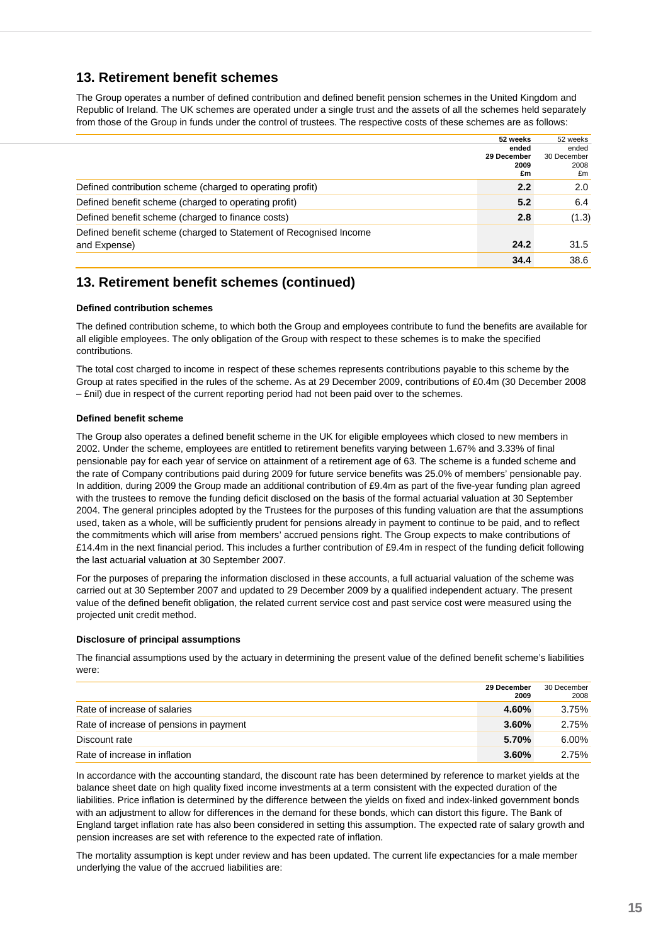## **13. Retirement benefit schemes**

The Group operates a number of defined contribution and defined benefit pension schemes in the United Kingdom and Republic of Ireland. The UK schemes are operated under a single trust and the assets of all the schemes held separately from those of the Group in funds under the control of trustees. The respective costs of these schemes are as follows:

|                                                                   | 52 weeks    | 52 weeks    |
|-------------------------------------------------------------------|-------------|-------------|
|                                                                   | ended       | ended       |
|                                                                   | 29 December | 30 December |
|                                                                   | 2009        | 2008        |
|                                                                   | £m          | £m          |
| Defined contribution scheme (charged to operating profit)         | 2.2         | 2.0         |
| Defined benefit scheme (charged to operating profit)              | 5.2         | 6.4         |
| Defined benefit scheme (charged to finance costs)                 | 2.8         | (1.3)       |
| Defined benefit scheme (charged to Statement of Recognised Income |             |             |
| and Expense)                                                      | 24.2        | 31.5        |
|                                                                   | 34.4        | 38.6        |

# **13. Retirement benefit schemes (continued)**

#### 125B**Defined contribution schemes**

The defined contribution scheme, to which both the Group and employees contribute to fund the benefits are available for all eligible employees. The only obligation of the Group with respect to these schemes is to make the specified contributions.

The total cost charged to income in respect of these schemes represents contributions payable to this scheme by the Group at rates specified in the rules of the scheme. As at 29 December 2009, contributions of £0.4m (30 December 2008 – £nil) due in respect of the current reporting period had not been paid over to the schemes.

## 126B**Defined benefit scheme**

The Group also operates a defined benefit scheme in the UK for eligible employees which closed to new members in 2002. Under the scheme, employees are entitled to retirement benefits varying between 1.67% and 3.33% of final pensionable pay for each year of service on attainment of a retirement age of 63. The scheme is a funded scheme and the rate of Company contributions paid during 2009 for future service benefits was 25.0% of members' pensionable pay. In addition, during 2009 the Group made an additional contribution of £9.4m as part of the five-year funding plan agreed with the trustees to remove the funding deficit disclosed on the basis of the formal actuarial valuation at 30 September 2004. The general principles adopted by the Trustees for the purposes of this funding valuation are that the assumptions used, taken as a whole, will be sufficiently prudent for pensions already in payment to continue to be paid, and to reflect the commitments which will arise from members' accrued pensions right. The Group expects to make contributions of £14.4m in the next financial period. This includes a further contribution of £9.4m in respect of the funding deficit following the last actuarial valuation at 30 September 2007.

For the purposes of preparing the information disclosed in these accounts, a full actuarial valuation of the scheme was carried out at 30 September 2007 and updated to 29 December 2009 by a qualified independent actuary. The present value of the defined benefit obligation, the related current service cost and past service cost were measured using the projected unit credit method.

#### **Disclosure of principal assumptions**

The financial assumptions used by the actuary in determining the present value of the defined benefit scheme's liabilities were:

|                                         | 29 December<br>2009 | 30 December<br>2008 |
|-----------------------------------------|---------------------|---------------------|
| Rate of increase of salaries            | 4.60%               | 3.75%               |
| Rate of increase of pensions in payment | $3.60\%$            | 2.75%               |
| Discount rate                           | 5.70%               | 6.00%               |
| Rate of increase in inflation           | $3.60\%$            | 2.75%               |

In accordance with the accounting standard, the discount rate has been determined by reference to market yields at the balance sheet date on high quality fixed income investments at a term consistent with the expected duration of the liabilities. Price inflation is determined by the difference between the yields on fixed and index-linked government bonds with an adjustment to allow for differences in the demand for these bonds, which can distort this figure. The Bank of England target inflation rate has also been considered in setting this assumption. The expected rate of salary growth and pension increases are set with reference to the expected rate of inflation.

The mortality assumption is kept under review and has been updated. The current life expectancies for a male member underlying the value of the accrued liabilities are: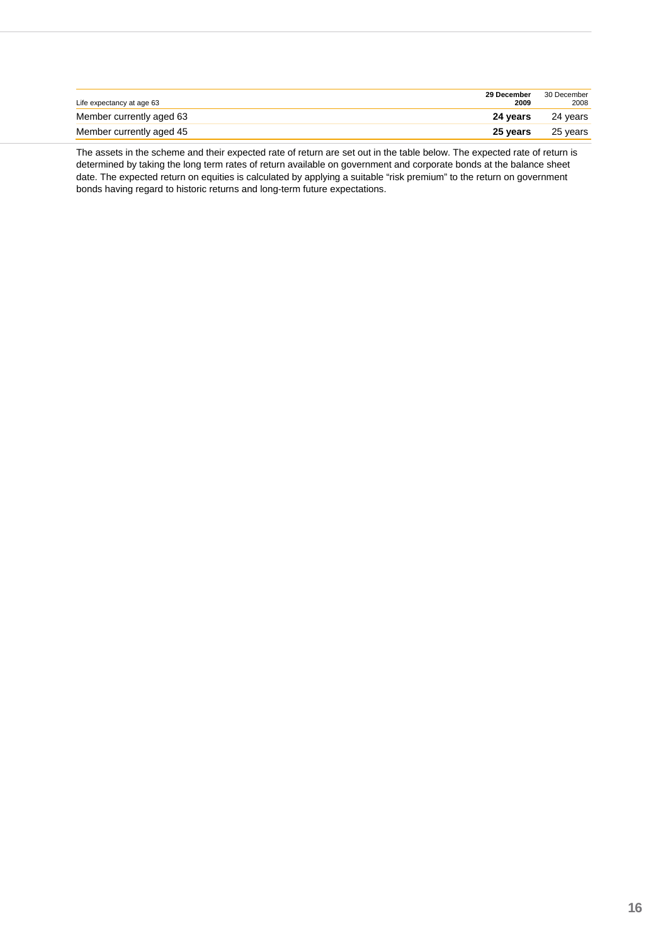| Life expectancy at age 63 | 29 December<br>2009 | 30 December<br>2008 |
|---------------------------|---------------------|---------------------|
| Member currently aged 63  | 24 vears            | 24 vears            |
| Member currently aged 45  | 25 vears            | 25 vears            |

The assets in the scheme and their expected rate of return are set out in the table below. The expected rate of return is determined by taking the long term rates of return available on government and corporate bonds at the balance sheet date. The expected return on equities is calculated by applying a suitable "risk premium" to the return on government bonds having regard to historic returns and long-term future expectations.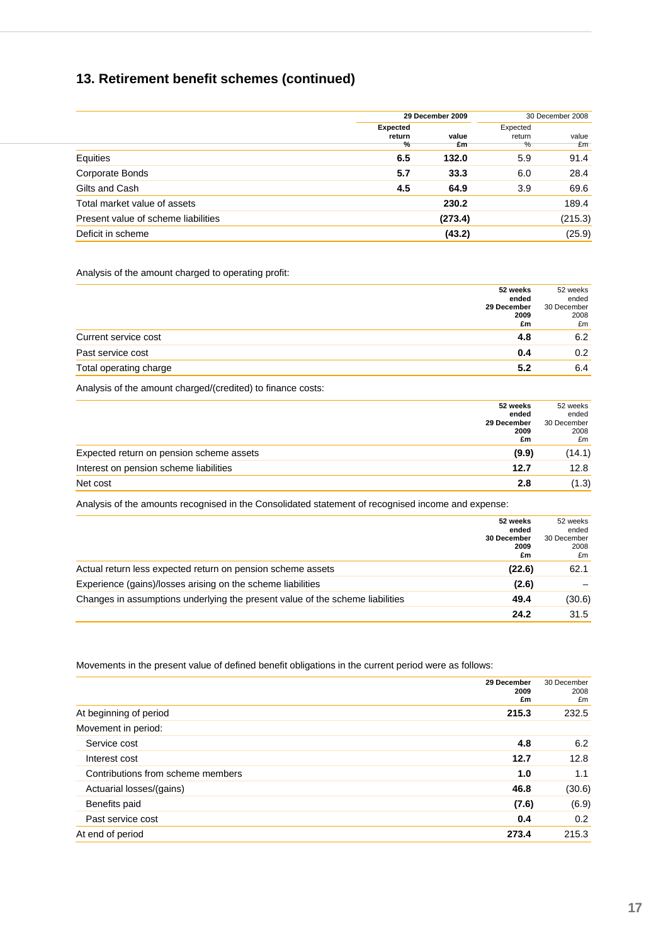# **13. Retirement benefit schemes (continued)**

|                                     | 29 December 2009                           |             | 30 December 2008        |             |
|-------------------------------------|--------------------------------------------|-------------|-------------------------|-------------|
|                                     | <b>Expected</b><br>return<br>$\frac{9}{6}$ | value<br>£m | Expected<br>return<br>% | value<br>£m |
| Equities                            | 6.5                                        | 132.0       | 5.9                     | 91.4        |
| Corporate Bonds                     | 5.7                                        | 33.3        | 6.0                     | 28.4        |
| Gilts and Cash                      | 4.5                                        | 64.9        | 3.9                     | 69.6        |
| Total market value of assets        |                                            | 230.2       |                         | 189.4       |
| Present value of scheme liabilities |                                            | (273.4)     |                         | (215.3)     |
| Deficit in scheme                   |                                            | (43.2)      |                         | (25.9)      |

#### Analysis of the amount charged to operating profit:

| 52 weeks                      | 52 weeks    |
|-------------------------------|-------------|
| ended                         | ended       |
| 29 December                   | 30 December |
| 2009                          | 2008        |
| £m                            | £m          |
| Current service cost<br>4.8   | 6.2         |
| Past service cost<br>0.4      | 0.2         |
| Total operating charge<br>5.2 | 6.4         |

Analysis of the amount charged/(credited) to finance costs:

|                                          | 52 weeks    | 52 weeks    |
|------------------------------------------|-------------|-------------|
|                                          | ended       | ended       |
|                                          | 29 December | 30 December |
|                                          | 2009        | 2008        |
|                                          | £m          | £m          |
| Expected return on pension scheme assets | (9.9)       | (14.1)      |
| Interest on pension scheme liabilities   | 12.7        | 12.8        |
| Net cost                                 | 2.8         | (1.3)       |

Analysis of the amounts recognised in the Consolidated statement of recognised income and expense:

|                                                                               | 52 weeks<br>ended         | 52 weeks<br>ended         |
|-------------------------------------------------------------------------------|---------------------------|---------------------------|
|                                                                               | 30 December<br>2009<br>£m | 30 December<br>2008<br>£m |
| Actual return less expected return on pension scheme assets                   | (22.6)                    | 62.1                      |
| Experience (gains)/losses arising on the scheme liabilities                   | (2.6)                     |                           |
| Changes in assumptions underlying the present value of the scheme liabilities | 49.4                      | (30.6)                    |
|                                                                               | 24.2                      | 31.5                      |

Movements in the present value of defined benefit obligations in the current period were as follows:

|                                   | 29 December<br>2009<br>£m | 30 December<br>2008<br>£m |
|-----------------------------------|---------------------------|---------------------------|
| At beginning of period            | 215.3                     | 232.5                     |
| Movement in period:               |                           |                           |
| Service cost                      | 4.8                       | 6.2                       |
| Interest cost                     | 12.7                      | 12.8                      |
| Contributions from scheme members | 1.0                       | 1.1                       |
| Actuarial losses/(gains)          | 46.8                      | (30.6)                    |
| Benefits paid                     | (7.6)                     | (6.9)                     |
| Past service cost                 | 0.4                       | 0.2                       |
| At end of period                  | 273.4                     | 215.3                     |